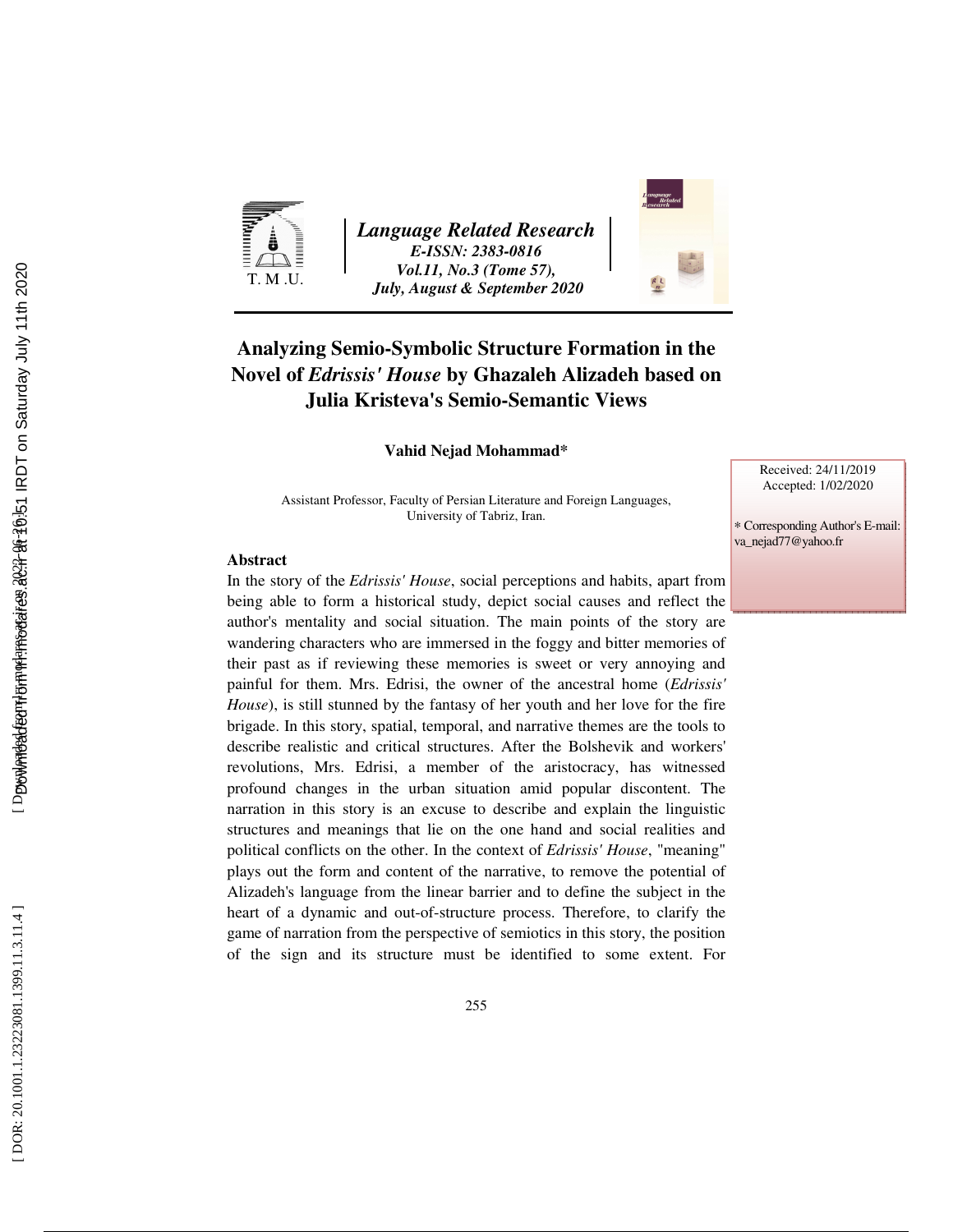

*Language Related Research E-ISSN: 2383-0816 Vol.11, No.3 (Tome 57), July, August & September 2020* 



## **Analyzing Semio-Symbolic Structure Formation in the Novel of** *Edrissis' House* **by Ghazaleh Alizadeh based on Julia Kristeva's Semio-Semantic Views**

**Vahid Nejad Mohammad\*** 

Assistant Professor, Faculty of Persian Literature and Foreign Languages, University of Tabriz, Iran.

Received: 24/11/2019 Accepted: 1/02/2020

∗ Corresponding Author's E-mail:

va\_nejad77@yahoo.fr

#### **Abstract**

In the story of the *Edrissis' House*, social perceptions and habits, apart from being able to form a historical study, depict social causes and reflect the author's mentality and social situation. The main points of the story are wandering characters who are immersed in the foggy and bitter memories of their past as if reviewing these memories is sweet or very annoying and painful for them. Mrs. Edrisi, the owner of the ancestral home (*Edrissis' House*), is still stunned by the fantasy of her youth and her love for the fire brigade. In this story, spatial, temporal, and narrative themes are the tools to describe realistic and critical structures. After the Bolshevik and workers' revolutions, Mrs. Edrisi, a member of the aristocracy, has witnessed profound changes in the urban situation amid popular discontent. The narration in this story is an excuse to describe and explain the linguistic structures and meanings that lie on the one hand and social realities and political conflicts on the other. In the context of *Edrissis' House*, "meaning" plays out the form and content of the narrative, to remove the potential of Alizadeh's language from the linear barrier and to define the subject in the heart of a dynamic and out-of-structure process. Therefore, to clarify the game of narration from the perspective of semiotics in this story, the position of the sign and its structure must be identified to some extent. For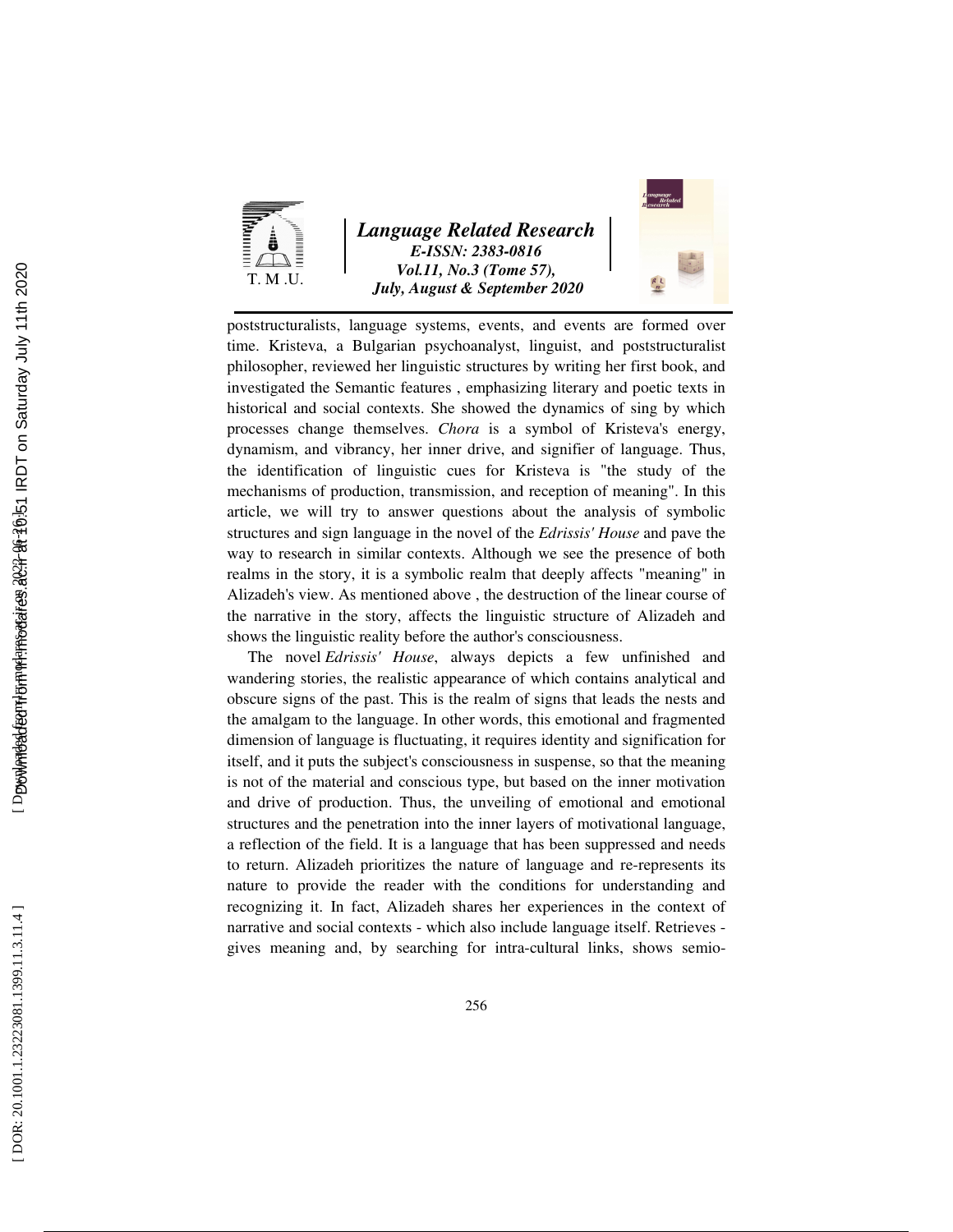

*Language Related Research E-ISSN: 2383-0816 Vol.11, No.3 (Tome 57), July, August & September 2020* 



poststructuralists, language systems, events, and events are formed over time. Kristeva, a Bulgarian psychoanalyst, linguist, and poststructuralist philosopher, reviewed her linguistic structures by writing her first book, and investigated the Semantic features , emphasizing literary and poetic texts in historical and social contexts. She showed the dynamics of sing by which processes change themselves. *Chora* is a symbol of Kristeva's energy, dynamism, and vibrancy, her inner drive, and signifier of language. Thus, the identification of linguistic cues for Kristeva is "the study of the mechanisms of production, transmission, and reception of meaning". In this article, we will try to answer questions about the analysis of symbolic structures and sign language in the novel of the *Edrissis' House* and pave the way to research in similar contexts. Although we see the presence of both realms in the story, it is a symbolic realm that deeply affects "meaning" in Alizadeh's view. As mentioned above , the destruction of the linear course of the narrative in the story, affects the linguistic structure of Alizadeh and shows the linguistic reality before the author's consciousness.

The novel *Edrissis' House*, always depicts a few unfinished and wandering stories, the realistic appearance of which contains analytical and obscure signs of the past. This is the realm of signs that leads the nests and the amalgam to the language. In other words, this emotional and fragmented dimension of language is fluctuating, it requires identity and signification for itself, and it puts the subject's consciousness in suspense, so that the meaning is not of the material and conscious type, but based on the inner motivation and drive of production. Thus, the unveiling of emotional and emotional structures and the penetration into the inner layers of motivational language, a reflection of the field. It is a language that has been suppressed and needs to return. Alizadeh prioritizes the nature of language and re-represents its nature to provide the reader with the conditions for understanding and recognizing it. In fact, Alizadeh shares her experiences in the context of narrative and social contexts - which also include language itself. Retrieves gives meaning and, by searching for intra-cultural links, shows semio-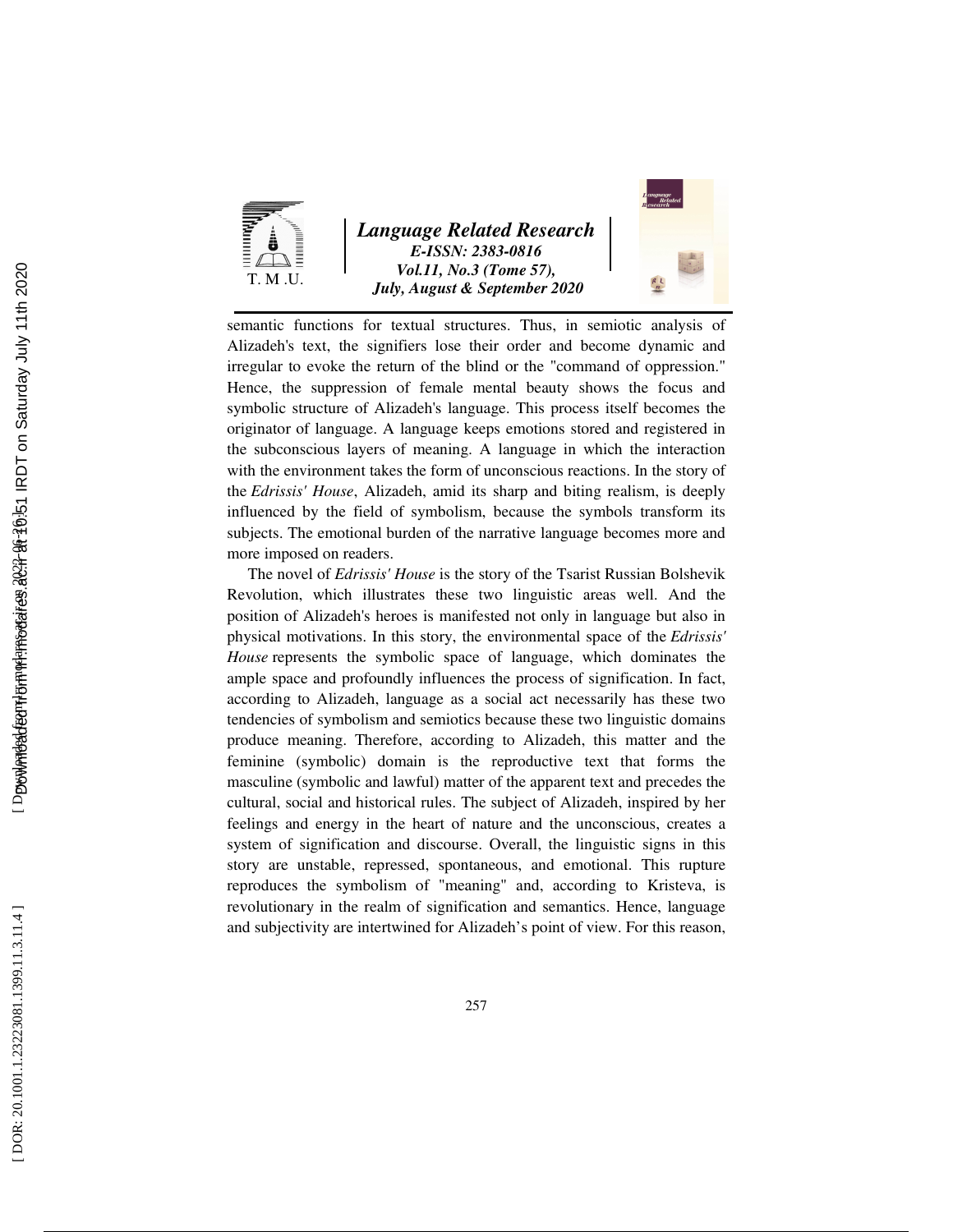

*Language Related Research E-ISSN: 2383-0816 Vol.11, No.3 (Tome 57), July, August & September 2020* 



semantic functions for textual structures. Thus, in semiotic analysis of Alizadeh's text, the signifiers lose their order and become dynamic and irregular to evoke the return of the blind or the "command of oppression." Hence, the suppression of female mental beauty shows the focus and symbolic structure of Alizadeh's language. This process itself becomes the originator of language. A language keeps emotions stored and registered in the subconscious layers of meaning. A language in which the interaction with the environment takes the form of unconscious reactions. In the story of the *Edrissis' House*, Alizadeh, amid its sharp and biting realism, is deeply influenced by the field of symbolism, because the symbols transform its subjects. The emotional burden of the narrative language becomes more and more imposed on readers.

The novel of *Edrissis' House* is the story of the Tsarist Russian Bolshevik Revolution, which illustrates these two linguistic areas well. And the position of Alizadeh's heroes is manifested not only in language but also in physical motivations. In this story, the environmental space of the *Edrissis' House* represents the symbolic space of language, which dominates the ample space and profoundly influences the process of signification. In fact, according to Alizadeh, language as a social act necessarily has these two tendencies of symbolism and semiotics because these two linguistic domains produce meaning. Therefore, according to Alizadeh, this matter and the feminine (symbolic) domain is the reproductive text that forms the masculine (symbolic and lawful) matter of the apparent text and precedes the cultural, social and historical rules. The subject of Alizadeh, inspired by her feelings and energy in the heart of nature and the unconscious, creates a system of signification and discourse. Overall, the linguistic signs in this story are unstable, repressed, spontaneous, and emotional. This rupture reproduces the symbolism of "meaning" and, according to Kristeva, is revolutionary in the realm of signification and semantics. Hence, language and subjectivity are intertwined for Alizadeh's point of view. For this reason,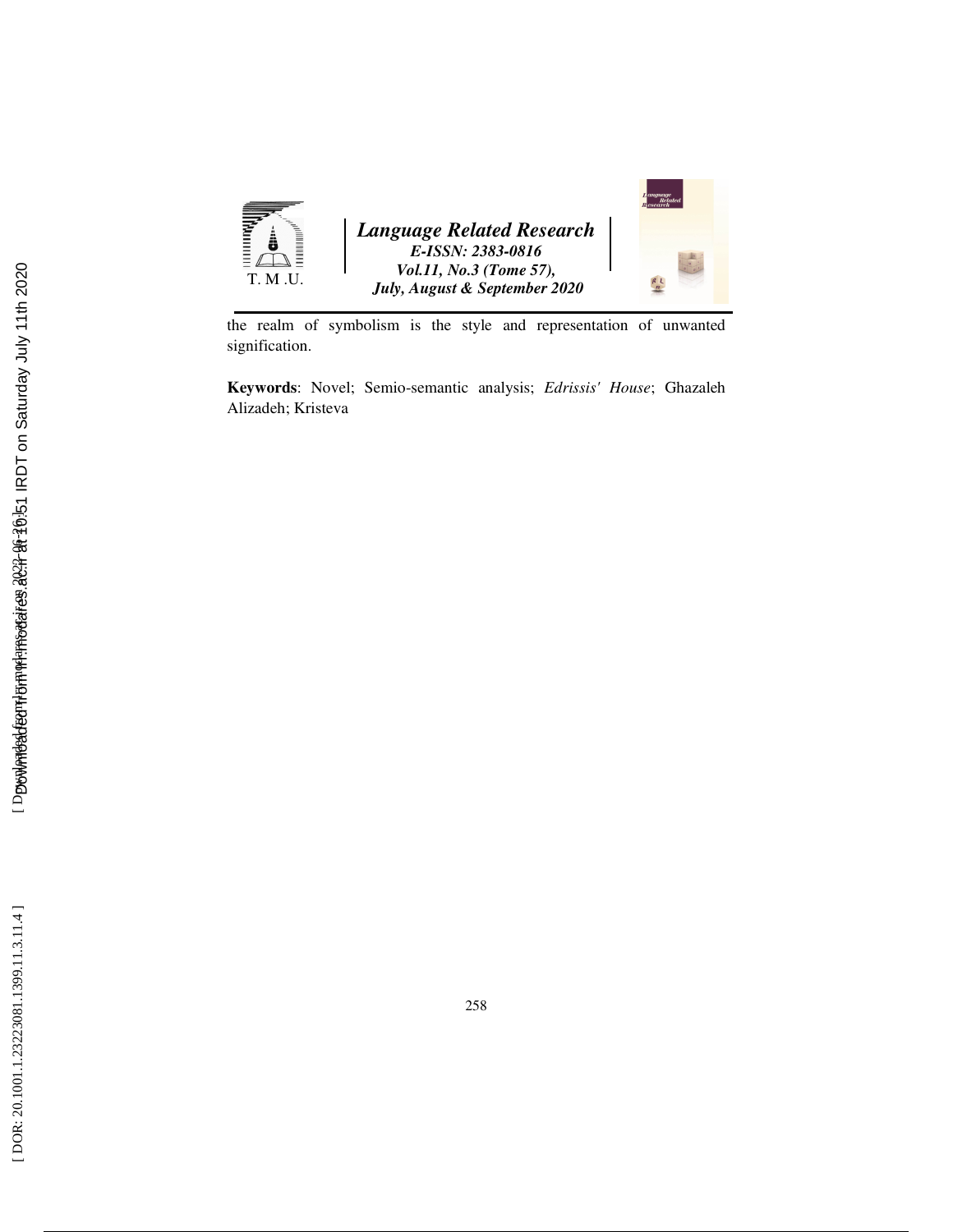

the realm of symbolism is the style and representation of unwanted signification.

**Keywords**: Novel; Semio-semantic analysis; *Edrissis' House*; Ghazaleh Alizadeh; Kristeva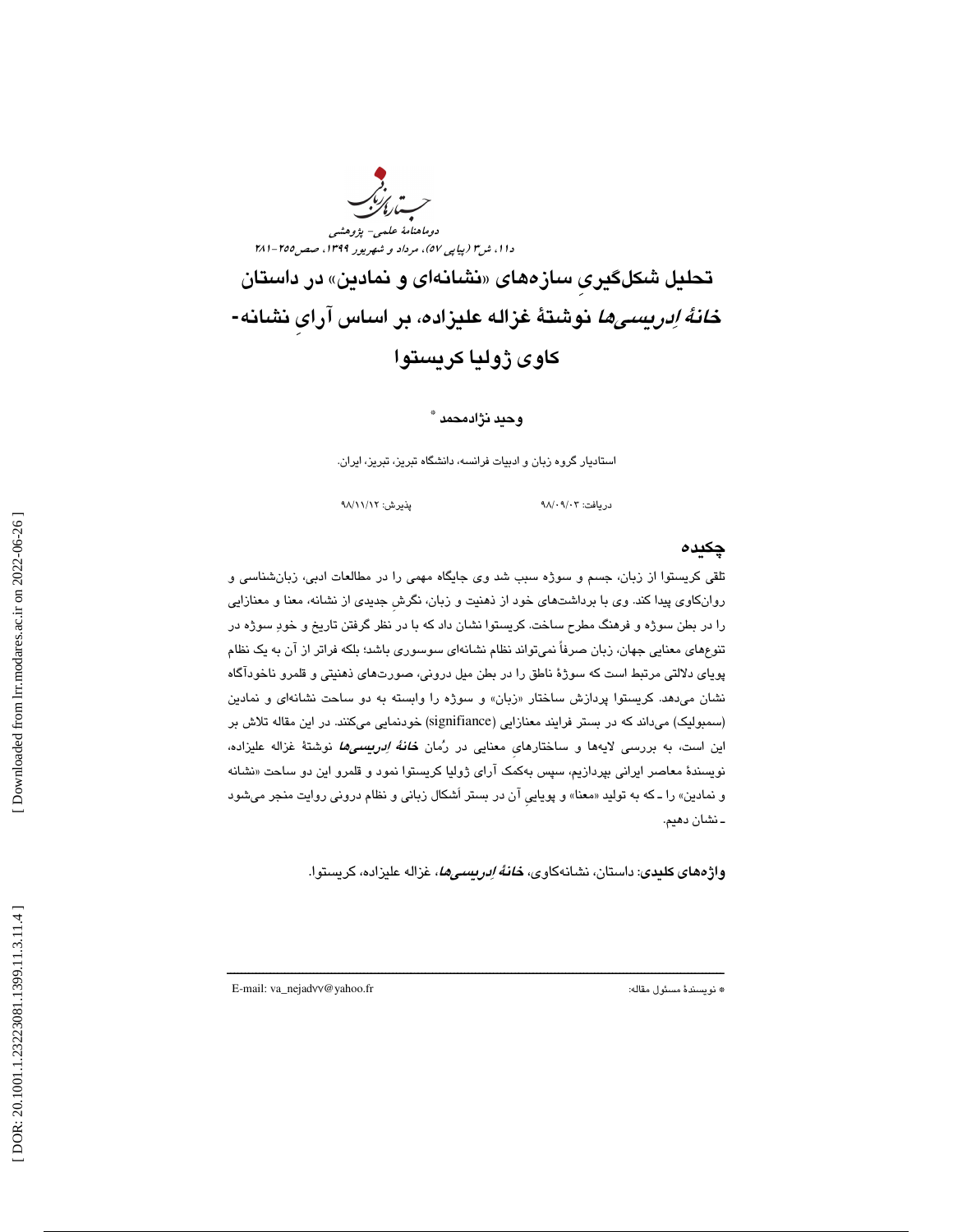ب<br>سارالز دوماهنامة علمي- پژوهشي دا ۱، ش" (پياپي ٥٧)، مرداد و شهريور ١٣٩٩، صص10٥-٢٨١ تحلیل شکلگیری سازههای «نشانهای و نمادین» در داستان خانة ادريسيها نوشتة غزاله عليزاده، بر اساس آرايِ نشانه**-**  كاوي ژوليا كريستوا

#### وحيد نژادمحمد \*

استاديار گروه زبان و ادبيات فرانسه، دانشگاه تبريز، تبريز، ايران.

دريافت: 03/ 09/ 98 پذيرش: 12/ 11/ 98

#### چكيده

تلقي كريستوا از زبان، جسم و سوژه سبب شد وي جايگاه مهمي را در مطالعات ادبي، زبانشناسي و روانكاوي پيدا كند. وي با برداشتهاي خود از ذهنيت و زبان، نگرشِ جديدي از نشانه، معنا و معنازايي را در بطن سوژه و فرهنگ مطرح ساخت. كريستوا نشان داد كه با در نظر گرفتن تاريخ و خود سوژه در تنوعهاي معنايي جهان، زبان صرفاً نميتواند نظام نشانهاي سوسوري باشد؛ بلكه فراتر از آن به يك نظام پوياي دلالتي مرتبط است كه سوژة ناطق را در بطن ميل دروني، صورتهاي ذهنيتي و قلمرو ناخودآگاه نشان میدهد. کریستوا پردازش ساختار «زبان» و سوژه را وابسته به دو ساحت نشانهای و نمادین (سمبوليك) ميداند كه در بستر فرايند معنازايي (signifiance (خودنمايي ميكنند. در اين مقاله تلاش بر اين است، به بررسي لايهها و ساختارهاي معنايي در رُمان *خانهٔ اِدريسيها* نوشتهٔ غزاله عليزاده، نويسندهٔ معاصر ايراني بپردازيم، سپس بهكمک اراي ژوليا كريستوا نمود و قلمرو اين دو ساحت «نشانه و نمادين» را ــ كه به توليد «معنا» و پويايي ان در بستر اشكال زباني و نظام دروني روايت منجر ميشود ـ نشان دهيم.

ــــــــــــــــــــــــــــــــــــــــــــــــــــــــــــــــــــــــــــــــــــــــــــــــــــــــــــــــــــــــــــــــــــــــــ

**واژههاي كليدي**: داستان، نشانهكاوي، *خانهٔ اِدريسيها*، غزاله عليزاده، كريستوا.

E-mail: va\_nejad77@yahoo.fr :مقاله مسئول نويسندة\*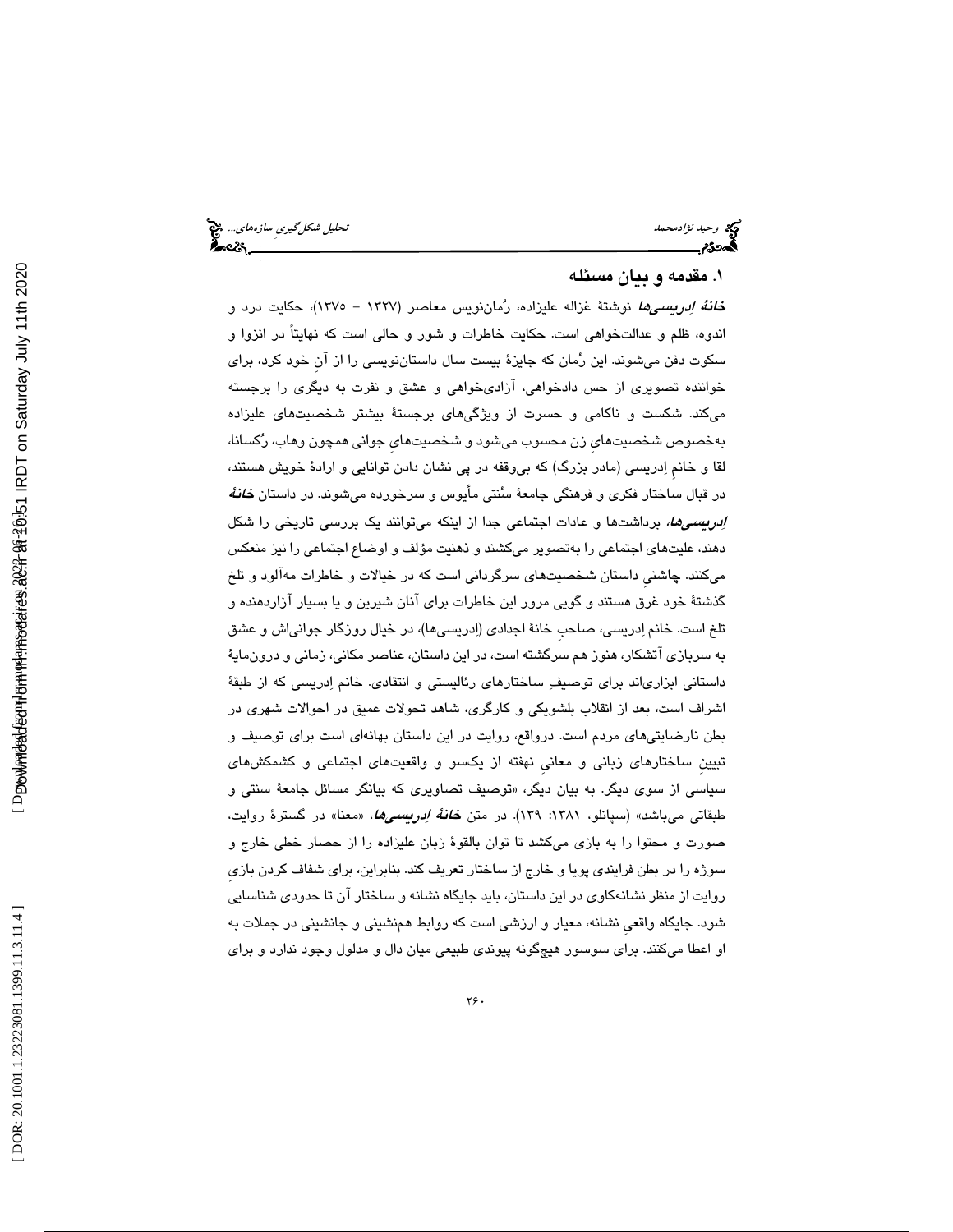وحيد نژادمحمد تحليل شكلگيريِ سازههاي...

#### 1. مقدمه و بيان مسئله

<mark>خ*انهٔ اِدریسیها* نو</mark>شتهٔ غزاله علیزاده، رُماننویس معاصر (۱۳۲۷ – ۱۳۷۵)، حکایت درد و اندوه، ظلم و عدالتخواهي است. حكايت خاطرات و شور و حالي است كه نهايتاً در انزوا و سكوت دفن ميشوند. اين رمان كه جايزة بيست سال داستاننويسي را از آنِ خود كرد، براي خواننده تصويري از حس دادخواهي، آزاديخواهي و عشق و نفرت به ديگري را برجسته ميكند. شكست و ناكامي و حسرت از ويژگيهاي برجستة بيشتر شخصيتهاي عليزاده بهخصوص شخصيتهايِ زن محسوب ميشود و شخصيتهايِ جواني همچون وهاب، ركسانا، لقا و خانمِ ادريسي (مادر بزرگ) كه بيوقفه در پي نشان دادن توانايي و ارادة خويش هستند، در قبال ساختار فكري و فرهنگي جامعهٔ سُنتي مأيوس و سرخورده ميشوند. در داستان *خانهٔ* ا*بريسيها،* برداشتها و عادات اجتماعي جدا از اينكه ميتوانند يك بررسي تاريخي را شكل دهند، عليتهاي اجتماعي را بهتصوير ميكشند و ذهنيت مؤلف و اوضاع اجتماعي را نيز منعكس ميكنند. چاشنيِ داستان شخصيتهاي سرگرداني است كه در خيالات و خاطرات مهآلود و تلخ گذشتة خود غرق هستند و گويي مرور اين خاطرات براي آنان شيرين و يا بسيار آزاردهنده و تلخ است. خانم ادريسي، صاحبِ خانة اجدادي (ادريسيها)، در خيال روزگار جوانياش و عشق به سربازي آتشكار، هنوز هم سرگشته است، در اين داستان، عناصر مكاني، زماني و درونماية داستاني ابزارياند براي توصيف ساختارهاي رئاليستي و انتقادي. خانم ادريسي كه از طبقة اشراف است، بعد از انقلاب بلشويكي و كارگري، شاهد تحولات عميق در احوالات شهري در بطن نارضايتيهاي مردم است. درواقع، روايت در اين داستان بهانهاي است براي توصيف و تبيينِ ساختارهاي زباني و معانيِ نهفته از يكسو و واقعيتهاي اجتماعي و كشمكشهاي سياسي از سوي ديگر. به بيان ديگر، «توصيف تصاويري كه بيانگر مسائل جامعهٔ سنتي و طبقاتي ميباشد» (سپانلو، ۱۳۸۱: ۱۳۹). در متن *خانهٔ اِدريسميها*، «معنا» در گسترهٔ روايت، صورت و محتوا را به بازي ميكشد تا توان بالقوة زبان عليزاده را از حصار خطي خارج و سوژه را در بطن فرايندي پويا و خارج از ساختار تعريف كند. بنابراين، براي شفاف كردن بازيِ روايت از منظر نشانهكاوي در اين داستان، بايد جايگاه نشانه و ساختار آن تا حدودي شناسايي شود. جايگاه واقعيِ نشانه، معيار و ارزشي است كه روابط همنشيني و جانشيني در جملات به او اعطا ميكنند. براي سوسور هيچگونه پيوندي طبيعي ميان دال و مدلول وجود ندارد و براي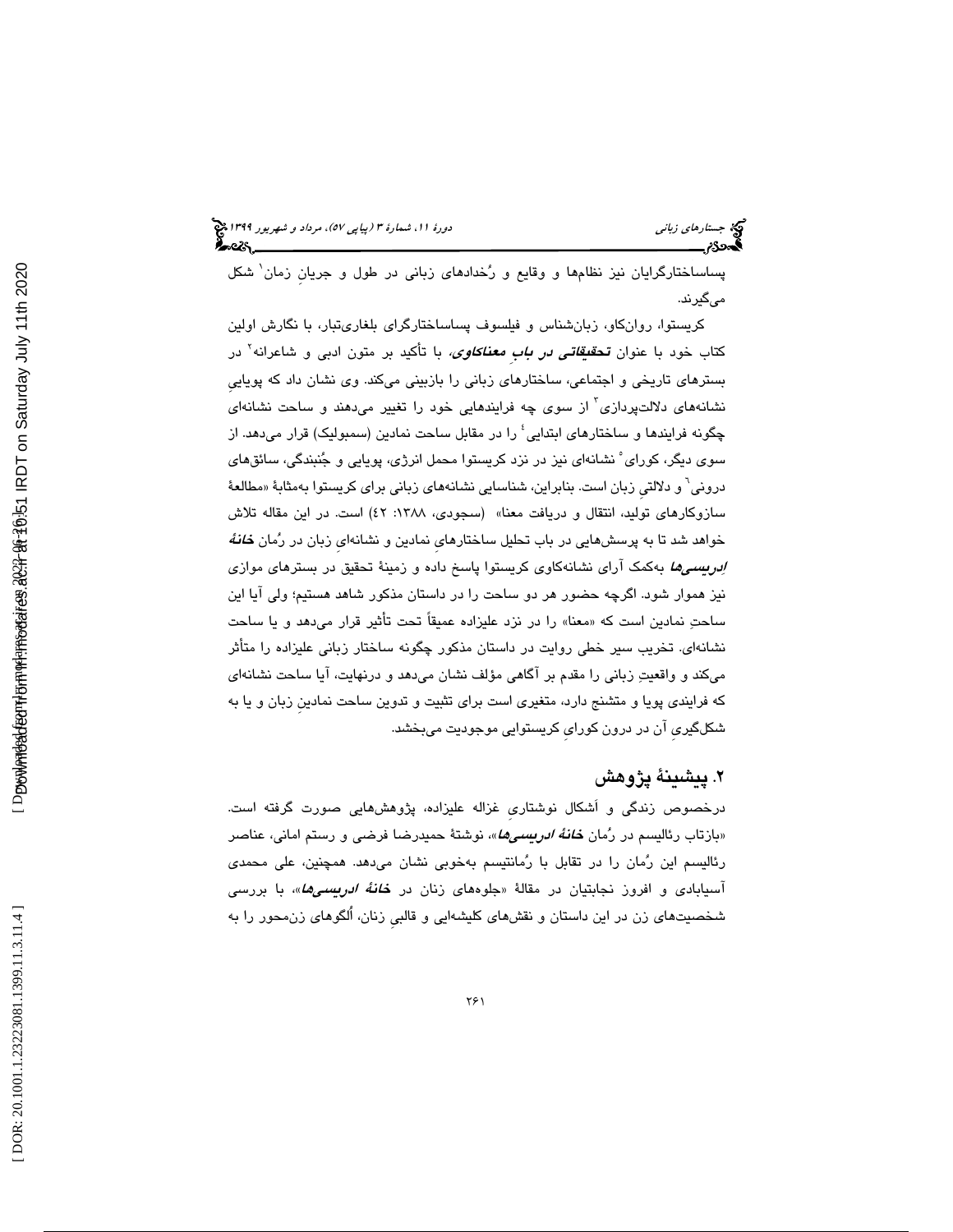پساساختارگرايان نيز نظامها و وقايع و رخدادهاي زباني در طول و جريانِ زمان 1 شكل ميگيرند.

كريستوا، روانكاو، زبانشناس و فيلسوف پساساختارگراي بلغاريتبار، با نگارش اولين کتاب خود با عنوان **تحق***یقاتی در بابِ معناکاوی،* **ب**ا تأکید بر متون ادبی و شاعرانه<sup>۲</sup> در بسترهاي تاريخي و اجتماعي، ساختارهاي زباني را بازبيني ميكند. وي نشان داد كه پوياييِ نشانههای دلالتپردازی<sup>۲</sup> از سوی چه فرایندهایی خود را تغییر میدهند و ساحت نشانه*ای* چگونه فرایندها و ساختارهای ابتدایی ٔ را در مقابل ساحت نمادین (سمبولیک) قرار میدهد. از سوی دیگر، کورای ْ نشانهای نیز در نزد کریستوا محمل انرژی، پویایی و جُنبندگی، سائقهای دروني<sup>٦</sup> و دلالتي زبان است. بنابراين، شناسايي نشانههاي زباني براي كريستوا بهمثابة «مطالعهٔ سازوکارهای تولید، انتقال و دریافت معنا» (سـجودی، ۱۳۸۸: ٤٢) است. در این مقاله تلاش خواهد شد تا به پرسشهايي در باب تحليل ساختارهاي نمادين و نشانهاي زبان در رُمان *خانهُ* ا*ردريسيها* به كمك آراي نشانهكاوي كريستوا پاسخ داده و زمينهٔ تحقيق در بسترهاي موازي نيز هموار شود. اگرچه حضور هر دو ساحت را در داستان مذكور شاهد هستيم؛ ولي آيا اين ساحتِ نمادين است كه «معنا» را در نزد عليزاده عميقاً تحت تأثير قرار ميدهد و يا ساحت نشانهاي. تخريب سير خطي روايت در داستان مذكور چگونه ساختار زباني عليزاده را متأثر ميكند و واقعيت زباني را مقدم بر آگاهي مؤلف نشان ميدهد و درنهايت، آيا ساحت نشانهاي كه فرايندي پويا و متشنج دارد، متغيري است براي تثبيت و تدوين ساحت نمادينِ زبان و يا به شكلگيريِ آن در درون كورايِ كريستوايي موجوديت ميبخشد.

## 2. پيشينة پژوهش

درخصوص زندگي و اَشكال نوشتاريِ غزاله عليزاده، پژوهشهايي صورت گرفته است. «بازتاب رئالیسم در رُمان *خانهٔ ادریسی۵ا***»،** نوشتهٔ حمیدرضا فرضی و رستم امانی، عناصر رئاليسم اين رمان را در تقابل با رمانتيسم بهخوبي نشان ميدهد. همچنين، علي محمدي آسیابادی و افروز نجابتیان در مقالهٔ «جلوههای زنان در *خانهٔ ادربیسیها***»،** با بررسی شخصيتهاي زن در اين داستان و نقشهاي كليشهايي و قالبي زنان، اُلگوهاي زنءحور را بهِ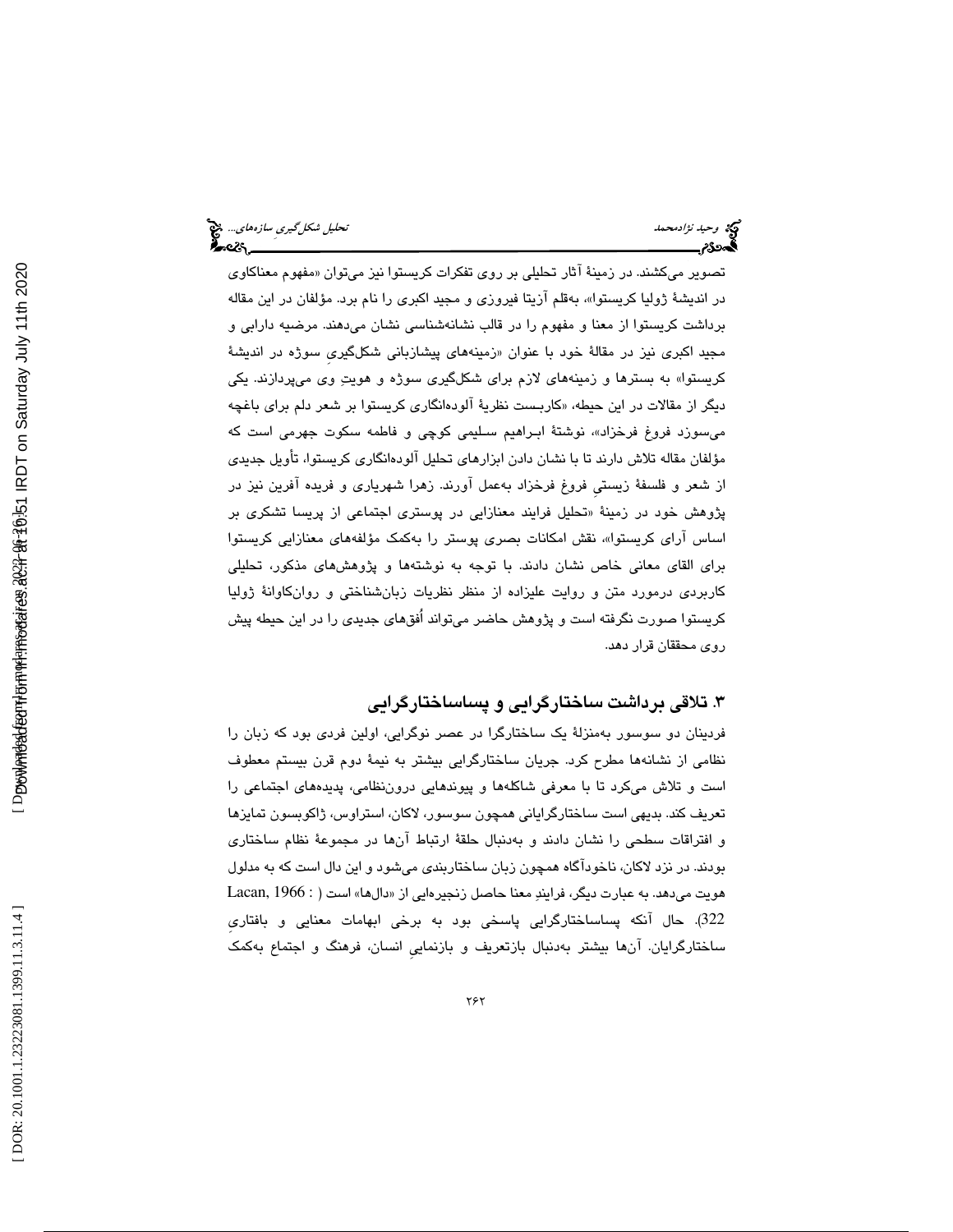|  | يحليل شكل <i>گيري سازەھاي</i> چ <mark>ې</mark><br>جوړېد |  |
|--|---------------------------------------------------------|--|
|  |                                                         |  |

وكي*ة وحيد نژادمحمد*<br>تح**جي** ص**كل**م

تصوير ميكشند. در زمينهٔ اثار تحليلي بر روي تفكرات كريستوا نيز ميتوان «مفهوم معناكاوي در انديشهٔ ژوليا كريستوا»، بەقلم ازيتا فيروزى و مجيد اكبرى را نام برد. مؤلفان در اين مقاله برداشت كريستوا از معنا و مفهوم را در قالب نشانهشناسي نشان ميدهند. مرضيه دارابي و مجيد اكبرى نيز در مقالهٔ خود با عنوان «زمينههاى پيشازباني شكلگيرى سوژه در انديشهٔ كريستوا» به بسترها و زمينههاي لازم براي شكلگيري سوژه و هويت وي ميپردازند. يكي ديگر از مقالات در اين حيطه، «كاربــست نظريهٔ الودهانگاری كريستوا بر شعر دلم برای باغچه میسوزد فروغ فرخزاد»، نوشتهٔ ابـراهیم سـلیمی كوچی و فاطمه سكوت جهرمی است كه مؤلفان مقاله تلاش دارند تا با نشان دادن ابزارهاي تحليل آلودهانگاري كريستوا، تأويل جديدي از شعر و فلسفة زيستيِ فروغ فرخزاد بهعمل آورند. زهرا شهرياري و فريده آفرين نيز در پژوهش خود در زمينهٔ «تحليل فرايند معنازايي در پوستری اجتماعی از پريسا تشکری بر اساس ارای کریستوا»، نقش امکانات بصری پوستر را بهکمک مؤلفههای معنازایی کریستوا براي القاي معاني خاص نشان دادند. با توجه به نوشتهها و پژوهشهاي مذكور، تحليلي كاربردي درمورد متن و روايت عليزاده از منظر نظريات زبانشناختي و روانكاوانة ژوليا كريستوا صورت نگرفته است و پژوهش حاضر ميتواند اُفقهاي جديدي را در اين حيطه پيش روي محققان قرار دهد.

### 3. تلاقي برداشت ساختارگرايي و پساساختارگرايي

فردينان دو سوسور بهمنزلة يك ساختارگرا در عصر نوگرايي، اولين فردي بود كه زبان را نظامي از نشانهها مطرح كرد. جريان ساختارگرايي بيشتر به نيمة دوم قرن بيستم معطوف است و تلاش ميكرد تا با معرفي شاكلهها و پيوندهايي دروننظامي، پديدههاي اجتماعي را تعريف كند. بديهي است ساختارگراياني همچون سوسور، لاكان، استراوس، ژاكوبسون تمايزها و افتراقات سطحي را نشان دادند و بهدنبال حلقة ارتباط آنها در مجموعة نظام ساختاري بودند. در نزد لاكان، ناخودآگاه همچون زبان ساختاربندي ميشود و اين دال است كه به مدلول هويت مىدهد. به عبارت ديگر، فرايندِ معنا حاصل زنجيرهايى از «دالها» است ( : Lacan, 1966 322). حال آنكه پساساختارگرايي پاسخي بود به برخي ابهامات معنايي و بافتاريِ ساختارگرايان. آنها بيشتر بهدنبال بازتعريف و بازنماييِ انسان، فرهنگ و اجتماع بهكمك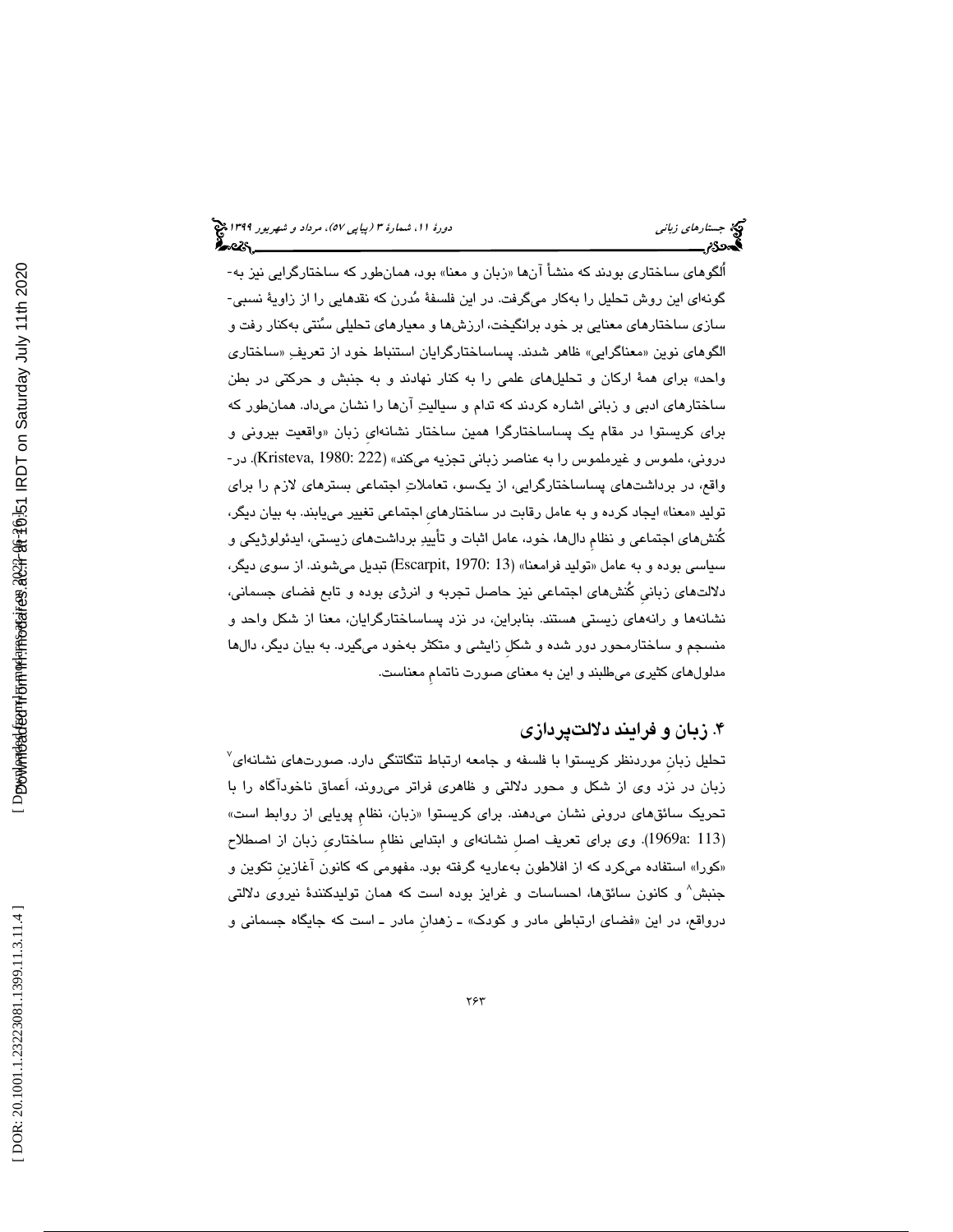اُلگوهاي ساختاري بودند كه منشأ آن «ها زبان و معنا ب» ود، همانطور كه ساختارگرايي نيز به- گونهاي اين روش تحليل را بهكار ميگرفت. در اين فلسفة مدرن كه نقدهايي را از زاوية نسبي- سازي ساختارهاي معنايي بر خود برانگيخت، ارزشها و معيارهاي تحليلي سنتي بهكنار رفت و الگوهای نوین «معناگرایی» ظاهر شدند. پساساختارگرایان استنباط خود از تعریفِ «ساختاری واحد» براي همة اركان و تحليلهاي علمي را به كنار نهادند و به جنبش و حركتي در بطن ساختارهاي ادبي و زباني اشاره كردند كه تدام و سياليت آنها را نشان ميداد. همانطور كه برای کریستوا در مقام یک پساساختارگرا همین ساختار نشانهای زبان «واقعیت بیرونی و دروني، ملموس و غيرملموس را به عناصر زباني تجزيه ميكند» (Kristeva, 1980: 222). در-واقع، در برداشتهاي پساساختارگرايي، از يكسو، تعاملات اجتماعي بسترهاي لازم را براي توليد «معنا» ايجاد كرده و به عامل رقابت در ساختارهای اجتماعی تغییر می،یابند. به بیان دیگر، كُنشهاي اجتماعي و نظامِ دالها، خود، عامل اثبات و تأييد برداشتهاي زيستي، ايدئولوژيكي و سنياسي بوده و به عامل «توليد فرامعنا» (Escarpit, 1970: 13) تبديل ميشوند. از سوي ديگر، دلالتهاي زبانيِ كُنشهاي اجتماعي نيز حاصل تجربه و انرژي بوده و تابع فضاي جسماني، نشانهها و رانههاي زيستي هستند. بنابراين، در نزد پساساختارگرايان، معنا از شكل واحد و منسجم و ساختارمحور دور شده و شكلِ زايشي و متكثر بهخود ميگيرد. به بيان ديگر، دالها مدلولهاي كثيري ميطلبند و اين به معناي صورت ناتمامِ معناست.

### 4. زبان و فرايند دلالتپردازي

تحلیل زبان موردنظر کریستوا با فلسفه و جامعه ارتباط تنگاتنگی دارد. صورتهای نشانهای<sup>۷</sup> زبان در نزد وي از شكل و محور دلالتي و ظاهري فراتر ميروند، اَعماق ناخودآگاه را با تحريک سائقهای درونی نشان میدهند. برای کریستوا «زبان، نظام پويايي از روابط است» 113 :a1969(. وي براي تعريف اصلِ نشانهاي و ابتدايي نظامِ ساختاريِ زبان از اصطلاح ) «كورا» استفاده مىكرد كه از افلاطون بهعاريه گرفته بود. مفهومى كه كانون اغازين تكوين و جنبش 8 و كانون سائقها، احساسات و غرايز بوده است كه همان توليدكنندة نيروي دلالتي درواقع، در اين «فضاي ارتباطي مادر و كودک» ــ زهدان مادر ــ است كه جايگاه جسماني و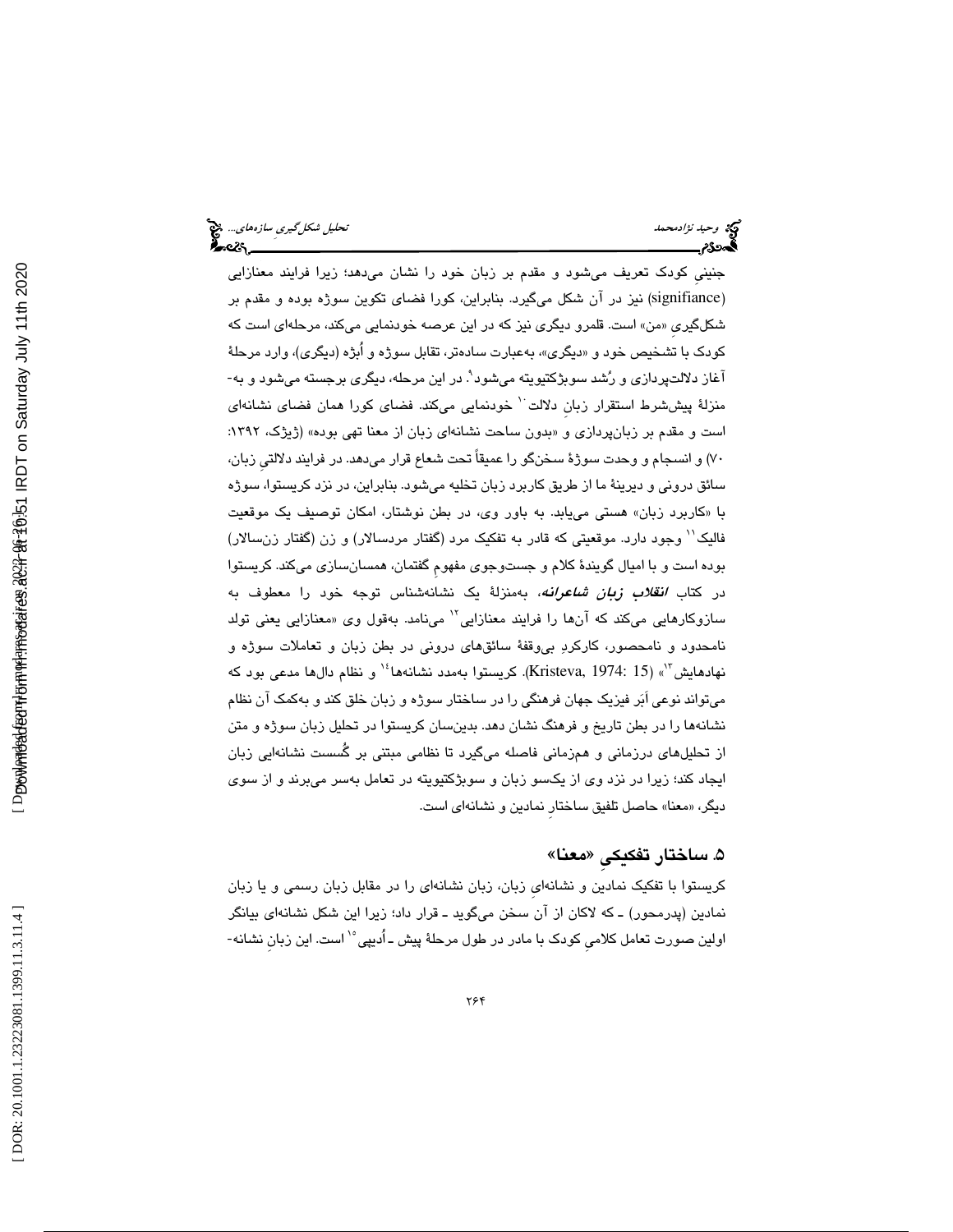## وكة وحي*د نژادمحمد* تحليل شكل *گيري ساز*ههاي... وح<mark>يد تحليل شكل *گيري ساز*ههاي... وح</mark>يد تحليل شكل گيريِ سازههاي... وحي<br>**الس**حدوم

جنينيِ كودك تعريف ميشود و مقدم بر زبان خود را نشان ميدهد؛ زيرا فرايند معنازايي (signifiance) نيز در آن شكل ميگيرد. بنابراين، كورا فضاي تكوين سوژه بوده و مقدم بر شكلگيري «من» است. قلمرو ديگری نيز كه در اين عرصه خودنمايی میكند، مرحلهای است كه كودک با تشخيص خود و «ديگرى»، بەعبارت سادەتر، تقابل سوژه و ابژه (ديگرى)، وارد مرحلهٔ آغاز دلالتپردازی و رُشد سوبژکتیویته میشود<sup>۹</sup>. در این مرحله، دیگری برجسته میشود و به-منزلهٔ پیششرط استقرار زبان دلالت<sup>۰٬</sup> خودنمایی میکند. فضای کورا همان فضای نشانهای است و مقدم بر زبانپردازی و «بدون ساحت نشانهای زبان از معنا تهی بوده» (ژیژک، ۱۳۹۲: 70) و انسجام و وحدت سوژة سخنگو را عميقاً تحت شعاع قرار ميدهد. در فرايند دلالتيِ زبان، سائق دروني و ديرينة ما از طريق كاربرد زبان تخليه ميشود. بنابراين، در نزد كريستوا، سوژه «با كاربرد زبان» هستي مييابد. به باور وي، در بطن نوشتار، امكان توصيف يك موقعيت فاليک'' وجود دارد. موقعيتي كه قادر به تفكيک مرد (گفتار مردسالار) و زن (گفتار زنسالار) بوده است و با اميال گويندة كلام و جستوجوي مفهومِ گفتمان، همسانسازي ميكند. كريستوا در كتاب *انقلاب زبان شاعرانه،* بهمنزلهٔ يك نشانهشناس توجه خود را معطوف به سازوکارهايي ميکند که آنها را فرايند معنازايي<sup>۱۲</sup> مينامد. بهقول وي «معنازايي يعني تولد نامحدود و نامحصور، كاركرد بيوقفة سائقهاي دروني در بطن زبان و تعاملات سوژه و نهادهايش"'» (15 :Kristeva, 1974). كريستوا بهمدد نشانهها<sup>،</sup>'' و نظام دالها مدعى بود كه ميتواند نوعي اَبر فيزيك جهان فرهنگي را در ساختار سوژه و زبان خلق كند و بهكمك آن نظام نشانهها را در بطن تاريخ و فرهنگ نشان دهد. بدينسان كريستوا در تحليل زبان سوژه و متن از تحليلهاي درزماني و همزماني فاصله ميگيرد تا نظامي مبتني بر گُسست نشانهايي زبان ايجاد كند؛ زيرا در نزد وي از يكسو زبان و سوبژكتيويته در تعامل بهسر ميبرند و از سوي ديگر، «معنا» حاصل تلفيق ساختار نمادين و نشانها*ي* است.

### ۵. ساختار تفكيكي «معنا»

كريستوا با تفكيك نمادين و نشانهايِ زبان، زبان نشانهاي را در مقابل زبان رسمي و يا زبان نمادين (پدرمحور) ـ كه لاكان از آن سخن ميگويد ـ قرار داد؛ زيرا اين شكل نشانهاي بيانگر اولين صورت تعامل كلامی كودک با مادر در طول مرحلهٔ پيش ــ اُديپی° است. اين زبان نشانه-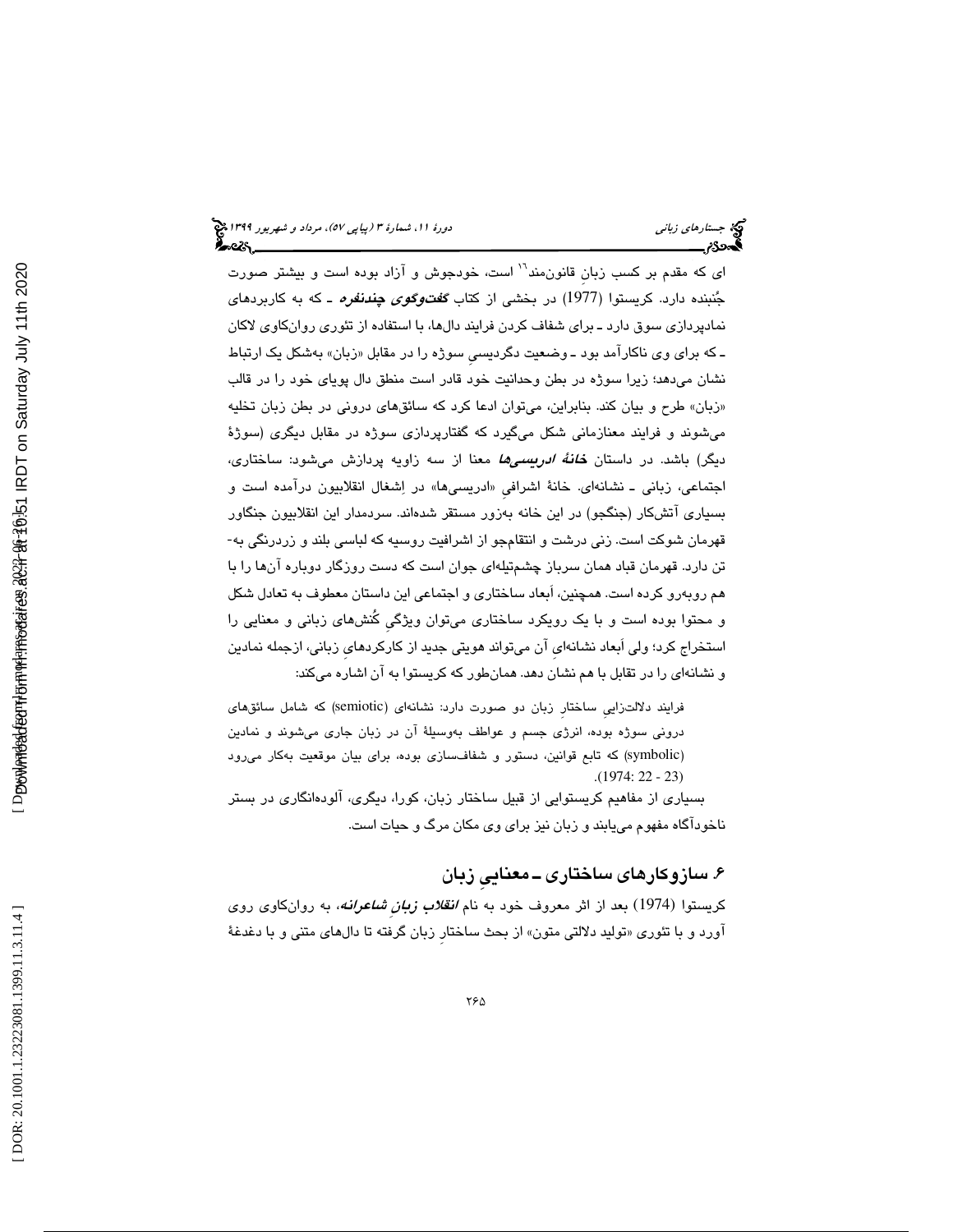ای که مقدم بر کسب زبان قانون۵مند<sup>۱٬۱</sup> است، خودجوش و آزاد بوده است و بیشتر صورت جُنبنده دارد. كريستوا (1977) در بخشي از كتاب *گفت9گوي چندنفره* ـ كه به كاربرد*ه*اي نمادپردازي سوق دارد ـ براي شفاف كردن فرايند دالها، با استفاده از تئوري روانكاوي لاكان ـ كه برای وی ناكارامد بود ـ وضعیت دگردیسی سوژه را در مقابل «زبان» بهشكل یک ارتباط نشان ميدهد؛ زيرا سوژه در بطن وحدانيت خود قادر است منطق دال پوياي خود را در قالب زبان» طرح و بيان كند. بنابراين، ميتوان ادعا كرد كه سائقهاي دروني در بطن زبان تخليه » ميشوند و فرايند معنازماني شكل ميگيرد كه گفتارپردازي سوژه در مقابل ديگري (سوژة ديگر) باشد. در داستان **خا***نهٔ ادريسيها* **معن**ا از سه زاويه پردازش ميشود: ساختاري، اجتماعي، زباني ــ نشانهاي. خانهٔ اشرافي «ادريسيها» در اِشغال انقلابيون درامده است و بسياري آتشكار (جنگجو) در اين خانه بهزور مستقر شدهاند. سردمدار اين انقلابيون جنگاور قهرمان شوكت است. زني درشت و انتقامجو از اشرافيت روسيه كه لباسي بلند و زردرنگي به- تن دارد. قهرمان قباد همان سرباز چشمتيلهاي جوان است كه دست روزگار دوباره آنها را با هم روبهرو كرده است. همچنين، اَبعاد ساختاري و اجتماعي اين داستان معطوف به تعادل شكل و محتوا بوده است و با يك رويكرد ساختاري ميتوان ويژگيِ كُنشهاي زباني و معنايي را استخراج كرد؛ ولي اَبعاد نشانهايِ آن ميتواند هويتي جديد از كاركردهايِ زباني، ازجمله نمادين و نشانهاي را در تقابل با هم نشان دهد. همانطور كه كريستوا به آن اشاره ميكند:

فرايند دلالتزايي ساختار زبان دو صورت دارد: نشانهای (semiotic) که شامل سائقهای دروني سوژه بوده، انرژي جسم و عواطف بهوسيلهٔ آن در زبان جاري ميشوند و نمادين (symbolic) كه تابع قوانين، دستور و شفافسازي بوده، براي بيان موقعيت بهكار ميرود (. 1974: 22 - 23 )

بسياري از مفاهيم كريستوايي از قبيل ساختار زبان، كورا، ديگري، آلودهانگاري در بستر ناخودآگاه مفهوم مييابند و زبان نيز براي وي مكان مرگ و حيات است.

## 6. سازوكارهاي ساختاري ـ معناييِ زبان

کریستوا (1974) بعد از اثر معروف خود به نام *انقلاب زبانِ شاعرانه*، به روانکاوی روی اورد و با تئوري «توليد دلالتي متون» از بحث ساختار زبان گرفته تا دالهاي متني و با دغدغهٔ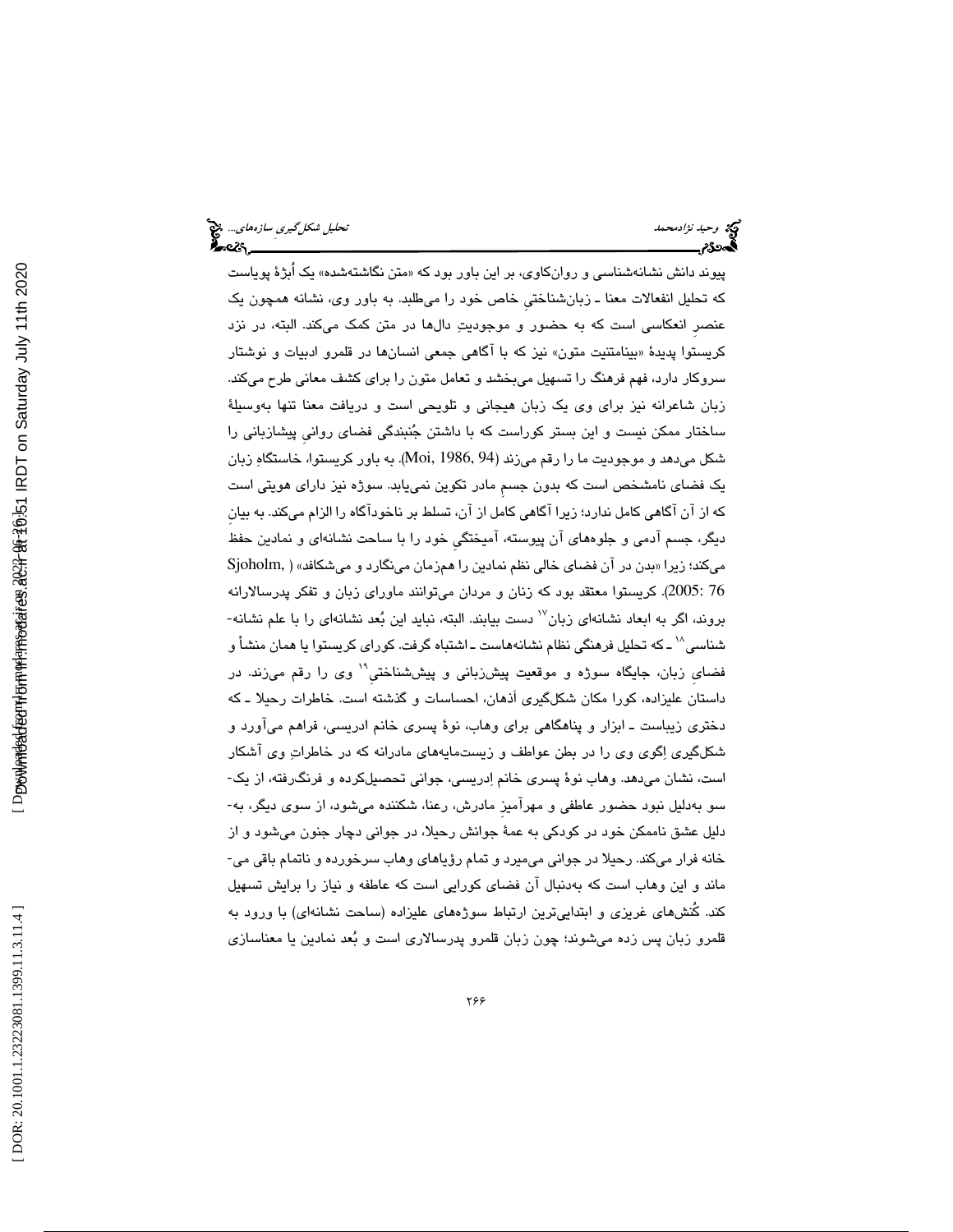# وحيد *نژادمحمد استخدام استخدام محمد تحليل شكل گيري ساز*ههاي.... وح<mark>يد تحليل شكل گيري سازههاي... وح</mark>يد العاملية ال<br>**الحدود تحليل استخدام استخدام استخدام استخدام استخدام استخدام استخدام استخدام استخدام استخدام استخدام استخد**

پیوند دانش نشانهشناسی و روانکاوی، بر این باور بود که «متن نگاشتهشده» یک ابژهٔ پویاست كه تحليل انفعالات معنا ـ زبانشناختيِ خاص خود را ميطلبد. به باور وي، نشانه همچون يك عنصرِ انعكاسي است كه به حضور و موجوديت دالها در متن كمك ميكند. البته، در نزد کريستوا پديدهٔ «بينامتنيت متون» نيز که با اگاهي جمعي انسانها در قلمرو ادبيات و نوشتار وسر كار دارد، فهم فرهنگ را تسهيل ميبخشد و تعامل متون را براي كشف معاني طرح ميكند. زبان شاعرانه نيز براي وي يك زبان هيجاني و تلويحي است و دريافت معنا تنها بهوسيلة ساختار ممكن نيست و اين بستر كوراست كه با داشتن جنبندگي فضاي روانيِ پيشازباني را شكل ميدهد و موجوديت ما را رقم ميزند (94 1986, ,Moi(. به باور كريستوا، خاستگاه زبان يك فضاي نامشخص است كه بدون جسمِ مادر تكوين نمييابد. سوژه نيز داراي هويتي است كه از آن آگاهي كامل ندارد؛ زيرا آگاهي كامل از آن، تسلط بر ناخودآگاه را الزام ميكند. به بيانِ ديگر، جسم آدمي و جلوههاي آن پيوسته، آميختگيِ خود را با ساحت نشانهاي و نمادين حفظ میكند؛ زیرا «بدن در آن فضای خالی نظم نمادین را همزمان مینگارد و میشكافد» ( Sjoholm, 76 2005:). كريستوا معتقد بود كه زنان و مردان ميتوانند ماوراي زبان و تفكر پدرسالارانه بروند، اگر به ابعاد نشانهای زبان<sup>۱۷</sup> دست بیابند. البته، نباید این بُعد نشانهای را با علم نشانه-شناسی^` ـ که تحلیل فرهنگی نظام نشانههاست ـ اشتباه گرفت. کورای کریستوا یا همان منشأ و فضای زبان، جايگاه سوژه و موقعيت پيشِزبانی و پيششناختیِ ْ وی را رقم میزند. در داستان عليزاده، كورا مكان شكلگيري اَذهان، احساسات و گذشته است. خاطرات رحيلا ـ كه دختري زيباست ـ ابزار و پناهگاهي براي وهاب، نوة پسري خانم ادريسي، فراهم ميآورد و شكلگيري اگوي وي را در بطن عواطف و زيستمايههاي مادرانه كه در خاطرات وي آشكار است، نشان ميدهد. وهاب نوة پسري خانم ادريسي، جواني تحصيلكرده و فرنگرفته، از يك- ليل نبود حضور عاطفي و مهرآميزِ مادرش، رعنا، شكننده ميشود، از سوي ديگر، به- سو بهد دليل عشق ناممكن خود در كودكي به عمة جوانش رحيلا، در جواني دچار جنون ميشود و از خانه فرار ميكند. رحيلا در جواني ميميرد و تمام رؤياهاي وهاب سرخورده و ناتمام باقي مي- ماند و اين وهاب است كه بهدنبال آن فضاي كورايي است كه عاطفه و نياز را برايش تسهيل كند. كُنشهاي غريزي و ابتداييترين ارتباط سوژههاي عليزاده (ساحت نشانهاي) با ورود به قلمرو زبان پس زده ميشوند؛ چون زبان قلمرو پدرسالاري است و بعد نمادين يا معناسازي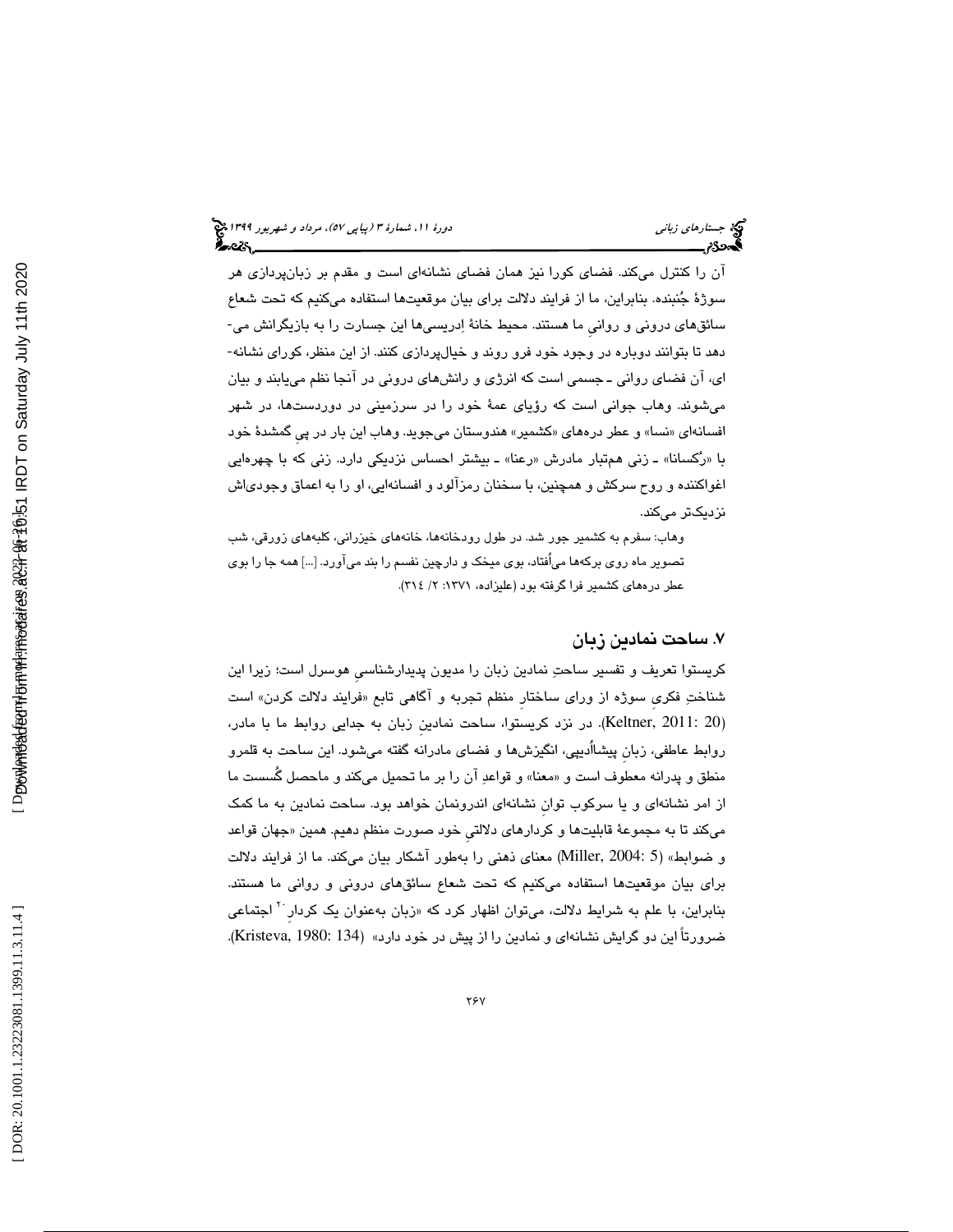آن را كنترل ميكند. فضاي كورا نيز همان فضاي نشانهاي است و مقدم بر زبانپردازي هر سوژة جنبنده. بنابراين، ما از فرايند دلالت براي بيان موقعيتها استفاده ميكنيم كه تحت شعاع سائقهاي دروني و روانيِ ما هستند. محيط خانة ادريسيها اين جسارت را به بازيگرانش مي- دهد تا بتوانند دوباره در وجود خود فرو روند و خيالپردازي كنند. از اين منظر، كوراي نشانه- اي، آن فضاي رواني ـ جسمي است كه انرژي و رانشهاي دروني در آنجا نظم مييابند و بيان ميشوند. وهاب جواني است كه رؤياي عمة خود را در سرزميني در دوردستها، در شهر افسانهای «نسا» و عطر درههای «کشمیر» هندوستان میجوید. وهاب این بار در پیِ گمشدهٔ خود با «رُكسانا» ـ زني همتبار مادرش «رعنا» ـ بيشتر احساس نزديكي دارد. زني كه با چهرهايي اغواكننده و روح سركش و همچنين، با سخنان رمزآلود و افسانهايي، او را به اعماق وجودياش نزديكتر ميكند.

وهاب: سفرم به كشمير جور شد. در طول رودخانهها، خانههاي خيزراني، كلبههاي زورقي، شب تصوير ماه روي بركهها مياُفتاد، بوي ميخك و دارچين نفسم را بند ميآورد. ]...[ همه جا را بوي عطر درههاي كشمير فرا گرفته بود (عليزاده، 1371 / :2 314 ).

#### 7. ساحت نمادين زبان

كريستوا تعريف و تفسير ساحت نمادين زبان را مديون پديدارشناسيِ هوسرل است؛ زيرا اين شناختِ فكرى سوژه از وراي ساختار منظم تجربه و اگاهي تابع «فرايند دلالت كردن» است (Keltner, 2011: 20). در نزد كريستوا، ساحت نمادين زبان به جدايي روابط ما با مادر، روابط عاطفي، زبانِ پيشااُديپي، انگيزشها و فضاي مادرانه گفته ميشود. اين ساحت به قلمرو منطق و پدرانه معطوف است و «معنا» و قواعدِ ان را بر ما تحمیل میكند و ماحصل گُسست ما از امر نشانهاي و يا سركوب توانِ نشانهاي اندرونمان خواهد بود. ساحت نمادين به ما كمك میکند تا به مجموعهٔ قابلیتها و کردارهای دلالتی خود صورت منظم دهیم. همین «جهان قواعد و ضوابط» (5 2004: ,Miller (معناي ذهني را بهطور آشكار بيان ميكند. ما از فرايند دلالت براي بيان موقعيتها استفاده ميكنيم كه تحت شعاع سائقهاي دروني و رواني ما هستند. بنابراین، با علم به شرایط دلالت، میتوان اظهار کرد که «زبان بهعنوان یک کردار<sup>۲۰</sup> اجتماعی .(Kristeva, 1980: 134) « ضرورتاً اين دو گرايش نشانهاي و نمادين را از پيش در خود دارد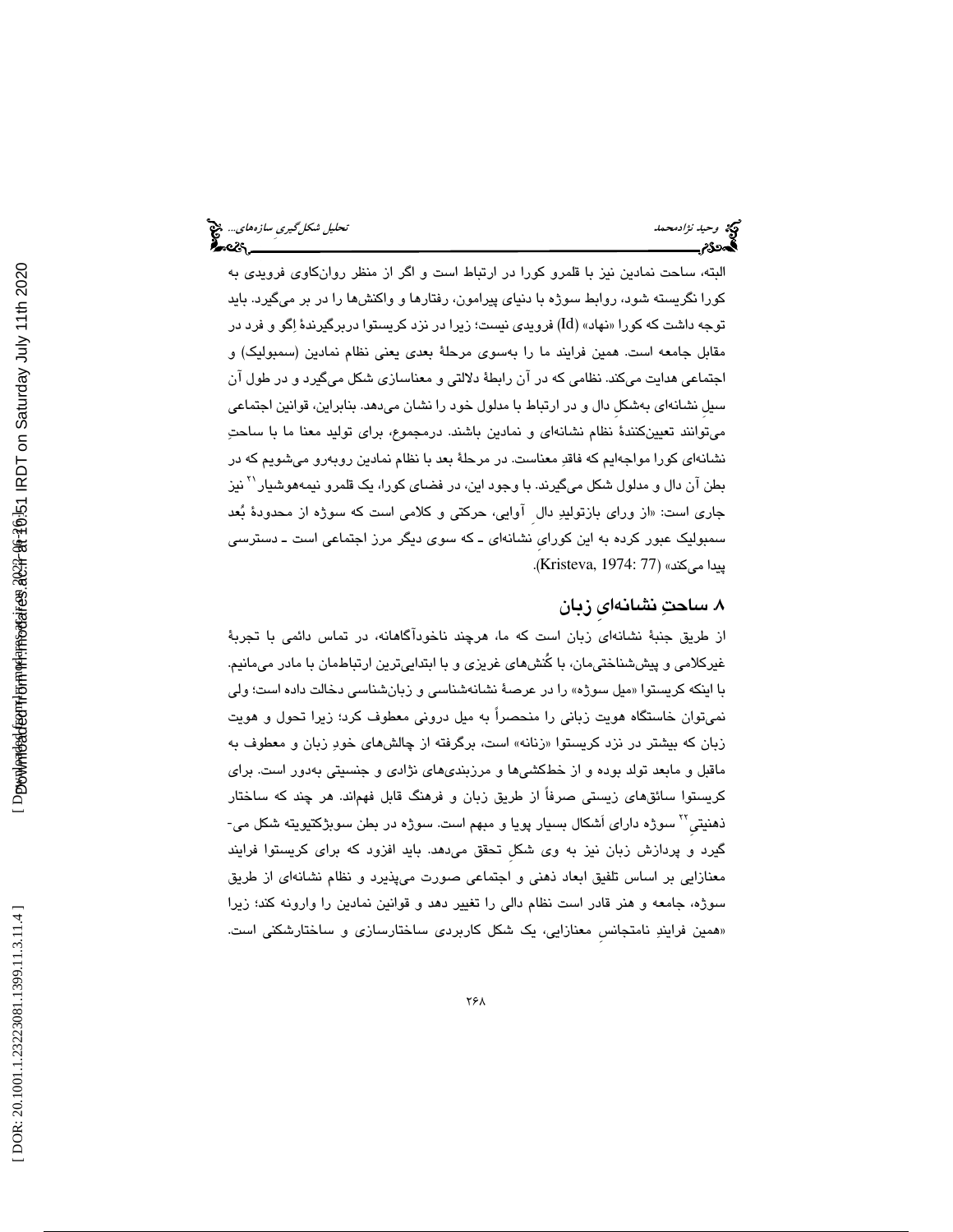# وحيد *نژادمحمد استخدام استخدام محمد تحليل شكل گيري ساز*ههاي.... وح<mark>يد تحليل شكل گيري سازههاي... وح</mark>يد العاملية ال<br>**الحدود تحليل استخدام استخدام استخدام استخدام استخدام استخدام استخدام استخدام استخدام استخدام استخدام استخد**

البته، ساحت نمادين نيز با قلمرو كورا در ارتباط است و اگر از منظر روانكاوي فرويدي به كورا نگريسته شود، روابط سوژه با دنياي پيرامون، رفتارها و واكنشها را در بر ميگيرد. بايد توجه داشت که کورا «نهاد» (Id) فرویدی نیست؛ زیرا در نزد کریستوا دربرگیرندهٔ اِگو و فرد در مقابل جامعه است. همين فرايند ما را بهسوي مرحلة بعدي يعني نظام نمادين (سمبوليك) و اجتماعي هدايت ميكند. نظامي كه در آن رابطة دلالتي و معناسازي شكل ميگيرد و در طول آن سيلِ نشانهاي بهشكلِ دال و در ارتباط با مدلول خود را نشان ميدهد. بنابراين، قوانين اجتماعي ميتوانند تعيينكنندة نظام نشانهاي و نمادين باشند. درمجموع، براي توليد معنا ما با ساحت نشانهاي كورا مواجهايم كه فاقد معناست. در مرحلة بعد با نظام نمادين روبهرو ميشويم كه در بطن آن دال و مدلول شكل ميگيرند. با وجود اين، در فضاي كورا، يک قلمرو نيمههوشيار<sup>\۲</sup> نيز جاري است: «از وراي بازتوليدِ دال اوايي، حركتي و كلامي است كه سوژه از محدودهٔ بُعد سمبوليك عبور كرده به اين كورايِ نشانهاي ـ كه سوي ديگر مرز اجتماعي است ـ دسترسي پيدا ميكند» (Kristeva, 1974: 77).

#### 8. ساحت نشانهايِ زبان

از طريق جنبة نشانهاي زبان است كه ما، هرچند ناخودآگاهانه، در تماس دائمي با تجربة غيركلامي و پيششناختيمان، با كُنشهاي غريزي و با ابتداييترين ارتباطمان با مادر ميمانيم. با اينكه كريستوا «ميل سوژه» را در عرصهٔ نشانهشناسي و زبانشناسي دخالت داده است؛ ولي نميتوان خاستگاه هويت زباني را منحصراً به ميل دروني معطوف كرد؛ زيرا تحول و هويت زبان كه بیشتر در نزد كریستوا «زنانه» است، برگرفته از چالشهای خودِ زبان و معطوف به ماقبل و مابعد تولد بوده و از خطكشيها و مرزبنديهاي نژادي و جنسيتي بهدور است. براي كريستوا سائقهاي زيستي صرفاً از طريق زبان و فرهنگ قابل فهماند. هر چند كه ساختار ذهنيتي<sup>۲۲</sup> سوژه دارا*ی* اَشکال بسيار پويا و مبهم است. سوژه در بطن سوبژکتيويته شکل م*ي*-گيرد و پردازش زبان نيز به وي شكلِ تحقق ميدهد. بايد افزود كه براي كريستوا فرايند معنازايي بر اساس تلفيق ابعاد ذهني و اجتماعي صورت ميپذيرد و نظام نشانهاي از طريق سوژه، جامعه و هنر قادر است نظام دالي را تغيير دهد و قوانين نمادين را وارونه كند؛ زيرا «همین فرایندِ نامتجانس معنازایی، یک شکل کاربردی ساختارسازی و ساختارشکنی است.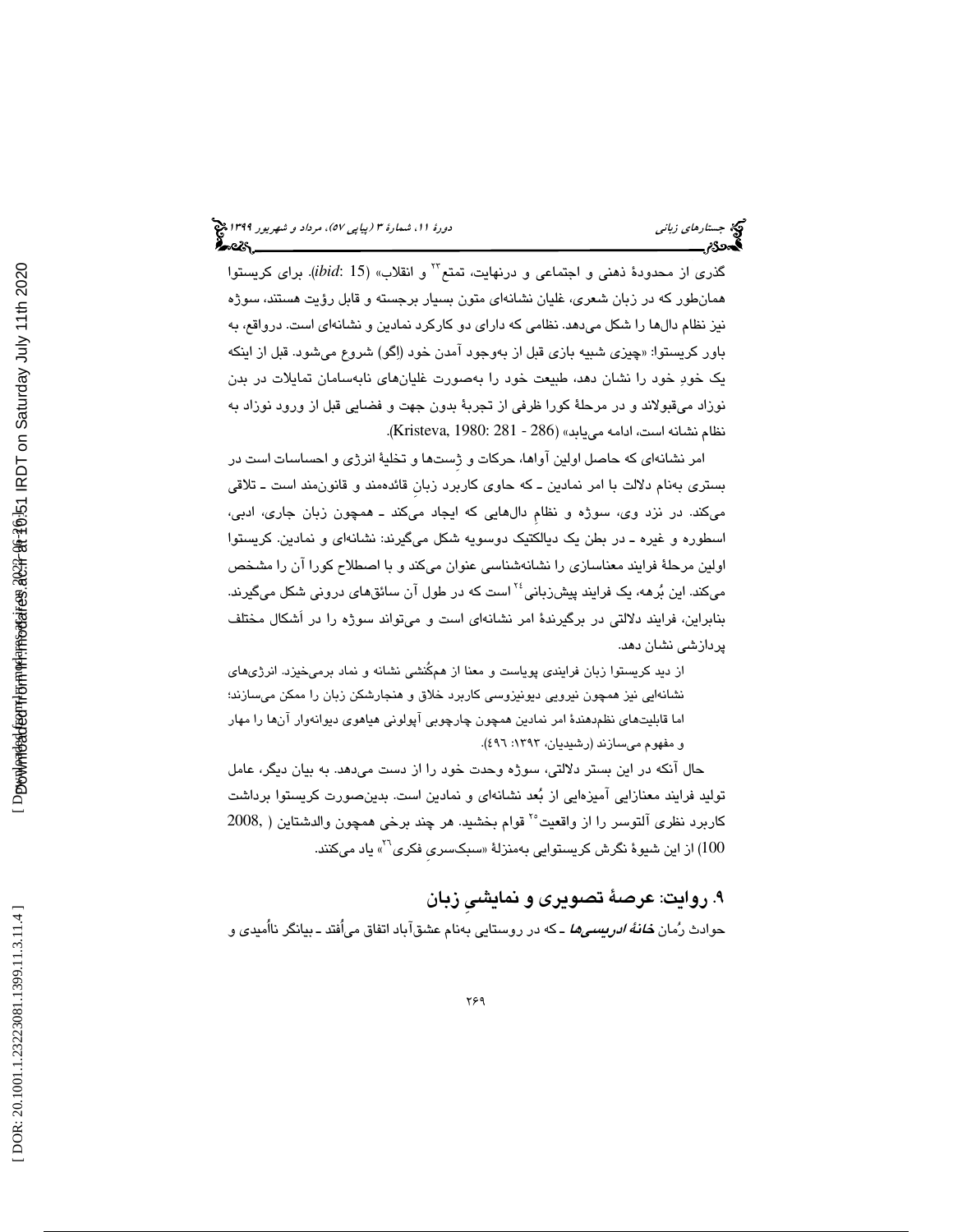گذري از محدودهٔ ذهني و اجتماعي و درنهايت، تمتع<sup>7۲</sup> و انقلاب» (ibid: 15). براي كريستوا همانطور كه در زبان شعري، غليان نشانهاي متون بسيار برجسته و قابل رؤيت هستند، سوژه نيز نظام دالها را شكل ميدهد. نظامي كه داراي دو كاركرد نمادين و نشانهاي است. درواقع، به باور كريستوا: «چيزي شبيه بازي قبل از بهوجود امدن خود (اِگو) شروع ميشود. قبل از اينكه يك خود خود را نشان دهد، طبيعت خود را بهصورت غليانهاي نابهسامان تمايلات در بدن نوزاد ميقبولاند و در مرحلهٔ كورا ظرفي از تجربهٔ بدون جهت و فضايي قبل از ورود نوزاد به نظام نشانه است، ادامه مي يابد» (286 - 281 :Kristeva, 1980: 281).

امر نشانهاي كه حاصل اولين آواها، حركات و ژِستها و تخلية انرژي و احساسات است در بستري بهنام دلالت با امر نمادين <sup>ـ</sup>كه حاوي كاربرد زبانِ قائدهمند و قانونمند است ـ تلاقي ميكند. در نزد وي، سوژه و نظامِ دالهايي كه ايجاد ميكند ـ همچون زبان جاري، ادبي، اسطوره و غيره ـ در بطن يك ديالكتيك دوسويه شكل ميگيرند: نشانهاي و نمادين. كريستوا اولين مرحلة فرايند معناسازي را نشانهشناسي عنوان ميكند و با اصطلاح كورا آن را مشخص میکند. این بُرهه، یک فرایند پیشزبانی<sup>،۲</sup> است که در طول آن سائقهای درونی شکل میگیرند. بنابراين، فرايند دلالتي در برگيرندة امر نشانهاي است و ميتواند سوژه را در اَشكال مختلف پردازشي نشان دهد.

 از ديد كريستوا زبان فرايندي پوياست و معنا از همكُنشي نشانه و نماد برميخيزد. انرژيهاي نشانهايي نيز همچون نيرويي ديونيزوسي كاربرد خلاق و هنجارشكن زبان را ممكن ميسازند؛ اما قابليتهاي نظمدهندة امر نمادين همچون چارچوبي آپولوني هياهوي ديوانه وار آن را ها مهار و مفهوم ميسازند (رشيديان، :1393 496).

حال آنكه در اين بستر دلالتي، سوژه وحدت خود را از دست ميدهد. به بيان ديگر، عامل توليد فرايند معنازايي آميزهايي از بعد نشانهاي و نمادين است. بدينصورت كريستوا برداشت كاربرد نظري آلتوسر را از واقعيت<sup>٢٠</sup> قوام بخشيد. هر چند برخي همچون والدشتاين ( ,2008 از این شیوهٔ نگرش کریستوایی بهمنزلهٔ «سبکسری فکری<sup>۲</sup>» یاد میکنند. (

9. روايت: عرصة تصويري و نمايشيِ زبان حوادث رُمان *خانهٔ ادریسیها ـ* که در روستایی بهنام عشقآباد اتفاق میاُفتد ـ بیانگر نااُمیدی و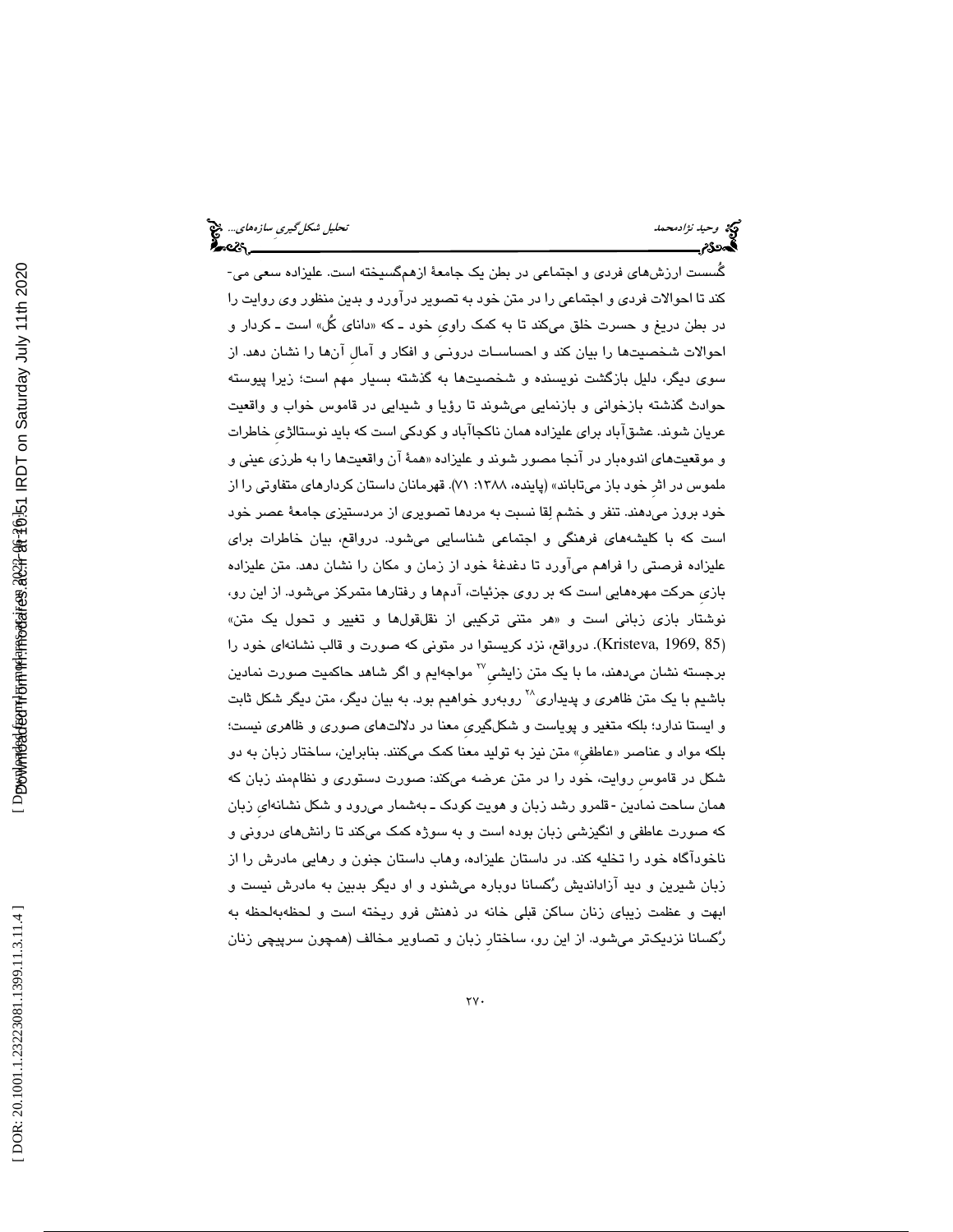گُسست ارزشهاي فردي و اجتماعي در بطن يك جامعة ازهمگسيخته است. عليزاده سعي مي- كند تا احوالات فردي و اجتماعي را در متن خود به تصوير درآورد و بدين منظور وي روايت را در بطن دريغ و حسرت خلق مىكند تا به كمک راوى خود ـ كه «داناى كل» است ـ كردار و احوالات شخصيتها را بيان كند و احساسـات درونـي و افكار و آمالِ آن ها را نشان دهد. از سوي ديگر، دليل بازگشت نويسنده و شخصيتها به گذشته بسيار مهم است؛ زيرا پيوسته حوادث گذشته بازخواني و بازنمايي ميشوند تا رؤيا و شيدايي در قاموس خواب و واقعيت عريان شوند. عشقآباد براي عليزاده همان ناكجاآباد و كودكي است كه بايد نوستالژيِ خاطرات و موقعيتهاي اندوهبار در انجا مصور شوند و عليزاده «همهٔ ان واقعيتها را به طرزي عيني و ملموس در اثر خود باز ميتاباند» (پاينده، ۱۳۸۸: ۷۱). قهرمانان داستان كردارهاي متفاوتي را از خود بروز ميدهند. تنفر و خشم لقا نسبت به مردها تصويري از مردستيزي جامعة عصر خود است كه با كليشههاي فرهنگي و اجتماعي شناسايي ميشود. درواقع، بيان خاطرات براي عليزاده فرصتي را فراهم ميآورد تا دغدغة خود از زمان و مكان را نشان دهد. متن عليزاده بازيِ حركت مهرههايي است كه بر روي جزئيات، آدمها و رفتارها متمركز ميشود. از اين رو، نوشتار بازي زباني است و «هر متني تركيبي از نقلقولها و تغيير و تحول يک متن» (Kristeva, 1969, 85). درواقع، نزد كريستوا در متوني كه صورت و قالب نشانهاي خود را برجسته نشان میدهند، ما با یک متن زایشی<sup>7۷</sup> مواجهایم و اگر شاهد حاکمیت صورت نمادین باشيم با يک متن ظاهري و پديداري $\mathcal{V}$ روبەرو خواهيم بود. به بيان ديگر، متن ديگر شكل ثابت و ايستا ندارد؛ بلكه متغير و پوياست و شكلگيريِ معنا در دلالتهاي صوري و ظاهري نيست؛ بلکه مواد و عناصر «عاطفي» متن نيز به توليد معنا کمک ميکنند. بنابراين، ساختار زبان به دو شكل در قاموسِ روايت، خود را در متن عرضه ميكند: صورت دستوري و نظاممند زبان كه همان ساحت نمادین -قلمرو رشد زبان و هویت کودک ــ بهشمار میرود و شکل نشانهای زبان كه صورت عاطفي و انگيزشي زبان بوده است و به سوژه كمك ميكند تا رانشهاي دروني و ناخودآگاه خود را تخليه كند. در داستان عليزاده، وهاب داستان جنون و رهايي مادرش را از زبان شيرين و ديد آزادانديش ركسانا دوباره ميشنود و او ديگر بدبين به مادرش نيست و ابهت و عظمت زيباي زنان ساكن قبلي خانه در ذهنش فرو ريخته است و لحظهبهلحظه به ركسانا نزديكتر ميشود. از اين رو، ساختارِ زبان و تصاوير مخالف (همچون سرپيچي زنان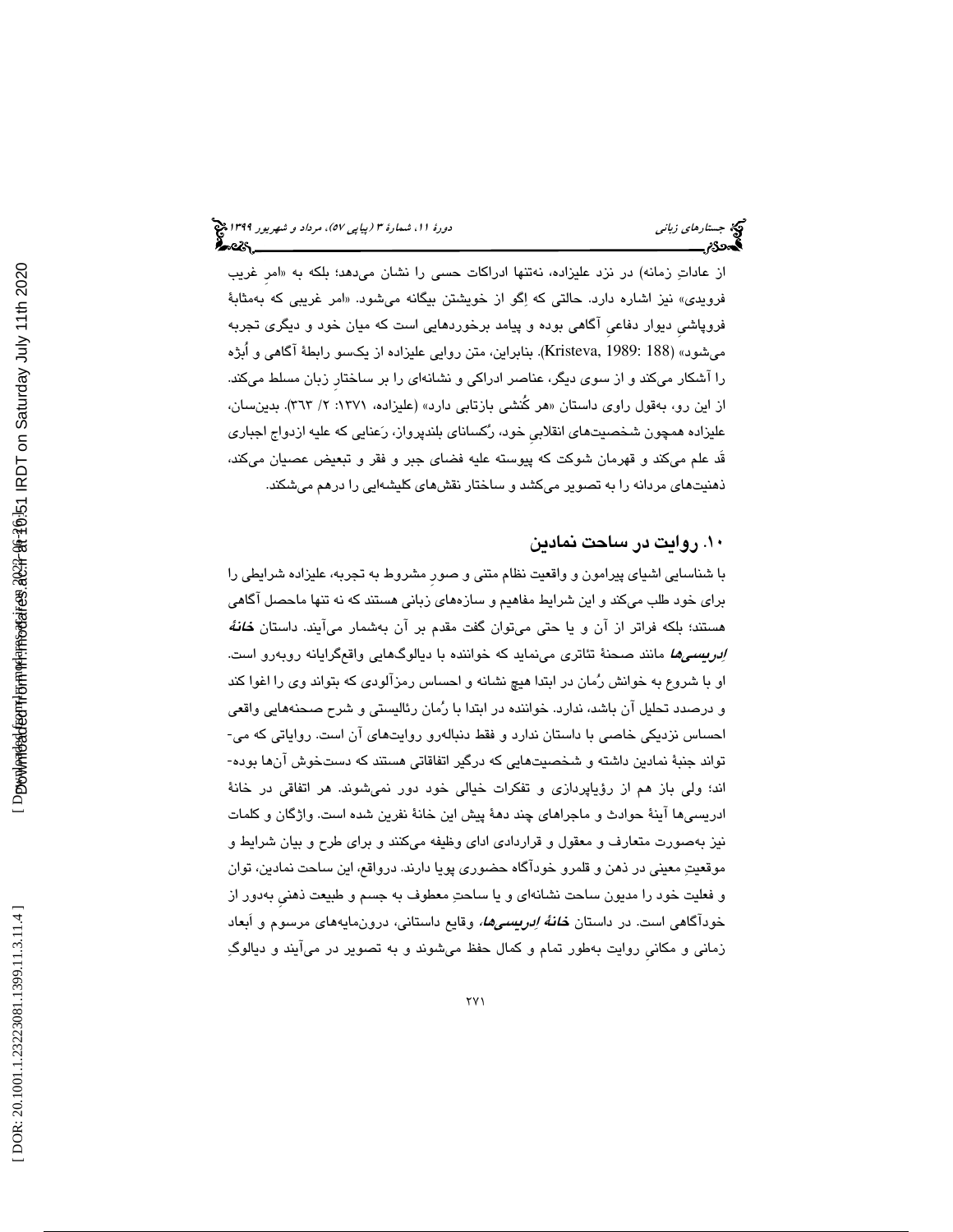از عاداتِ زمانه) در نزد علیزاده، نهتنها ادراکات حسی را نشان میدهد؛ بلکه به «امر غریب فرويدی» نيز اشاره دارد. حالتي كه اِگو از خويشتن بيگانه ميشود. «امر غريبي كه بهمثابهٔ فروپاشيِ ديوار دفاعيِ آگاهي بوده و پيامد برخوردهايي است كه ميان خود و ديگري تجربه ميشود» (188 :Kristeva, 1989). بنابراين، متن روايي عليزاده از يكسو رابطة آگاهي و اُبژه را آشكار ميكند و از سوي ديگر، عناصر ادراكي و نشانهاي را بر ساختارِ زبان مسلط ميكند. از اين رو، بەقول راوى داستان «هر كُنشى بازتابى دارد» (عليزاده، ١٣٧١: ٢/ ٣٦٣). بدينسان، عليزاده همچون شخصيتهاي انقلابيِ خود، ركساناي بلندپرواز، رعنايي كه عليه ازدواج اجباري قَد علم ميكند و قهرمان شوكت كه پيوسته عليه فضاي جبر و فقر و تبعيض عصيان ميكند، ذهنيتهاي مردانه را به تصوير ميكشد و ساختار نقشهاي كليشهايي را درهم ميشكند.

#### 10. روايت در ساحت نمادين

با شناسايي اشياي پيرامون و واقعيت نظام متني و صورِ مشروط به تجربه، عليزاده شرايطي را براي خود طلب ميكند و اين شرايط مفاهيم و سازههاي زباني هستند كه نه تنها ماحصل آگاهي هستند؛ بلکه فراتر از آن و یا حتی میتوان گفت مقدم بر آن بهشمار میآیند. داستان *خانهٔ ادريسيها* مانند صحنهٔ تئاتري مينمايد كه خواننده با ديالوگهايي واقعگرايانه روبهرو است. او با شروع به خوانش رمان در ابتدا هيچ نشانه و احساس رمزآلودي كه بتواند وي را اغوا كند و درصدد تحليل آن باشد، ندارد. خواننده در ابتدا با رمان رئاليستي و شرح صحنههايي واقعي احساس نزديكي خاصي با داستان ندارد و فقط دنبالهرو روايتهاي آن است. رواياتي كه مي- تواند جنبة نمادين داشته و شخصيتهايي كه درگير اتفاقاتي هستند كه دستخوش آنها بوده- اند؛ ولي باز هم از رؤياپردازي و تفكرات خيالي خود دور نميشوند. هر اتفاقي در خانة ادريسيها آينة حوادث و ماجراهاي چند دهة پيش اين خانة نفرين شده است. واژگان و كلمات نيز بهصورت متعارف و معقول و قراردادي اداي وظيفه ميكنند و براي طرح و بيان شرايط و موقعيت معيني در ذهن و قلمرو خودآگاه حضوري پويا دارند. درواقع، اين ساحت نمادين، توان و فعليت خود را مديون ساحت نشانهاي و يا ساحت معطوف به جسم و طبيعت ذهنيِ بهدور از خودآگاهي است. در داستان *خانهٔ اِدريسميها،* وقايع داستاني، درونمايههاي مرسوم و اَبعاد زماني و مكانيِ روايت بهطور تمام و كمال حفظ ميشوند و به تصوير در ميآيند و ديالوگ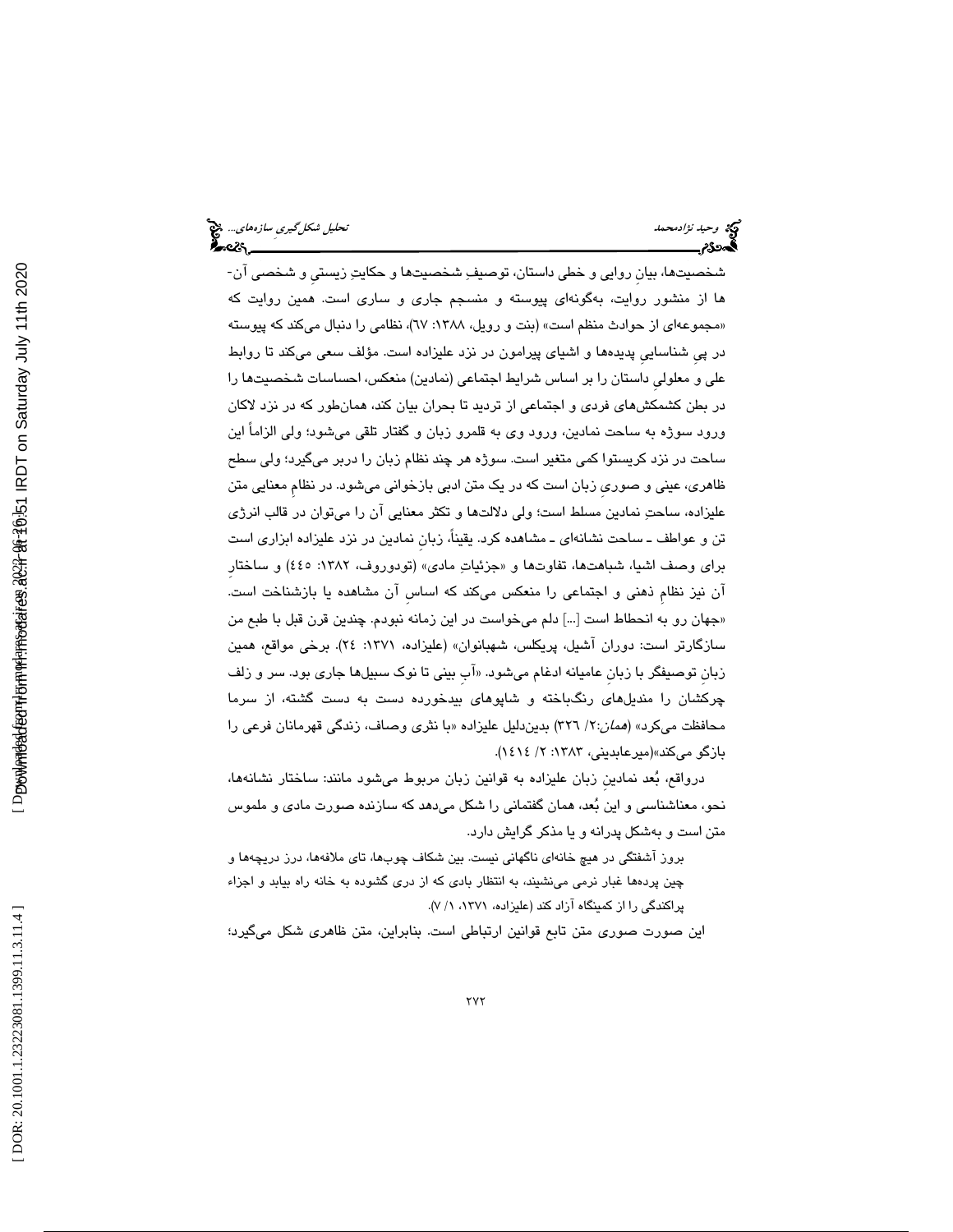شخصيتها، بيانِ روايي و خطي داستان، توصيف شخصيتها و حكايت زيستيِ و شخصي آن- ها از منشور روايت، بهگونهاي پيوسته و منسجم جاري و ساري است. همين روايت كه «مجموعهای از حوادث منظم است» (بنت و رویل، ۱۳۸۸: ۱۷)، نظامی را دنبال میكند كه پیوسته در پيِ شناساييِ پديدهها و اشياي پيرامون در نزد عليزاده است. مؤلف سعي ميكند تا روابط علي و معلوليِ داستان را بر اساس شرايط اجتماعي (نمادين) منعكس، احساسات شخصيتها را در بطن كشمكشهاي فردي و اجتماعي از ترديد تا بحران بيان كند، همانطور كه در نزد لاكان ورود سوژه به ساحت نمادين، ورود وي به قلمرو زبان و گفتار تلقي ميشود؛ ولي الزاماً اين ساحت در نزد كريستوا كمي متغير است. سوژه هر چند نظام زبان را دربر ميگيرد؛ ولي سطح ظاهري، عيني و صوريِ زبان است كه در يك متن ادبي بازخواني ميشود. در نظامِ معنايي متن عليزاده، ساحت نمادين مسلط است؛ ولي دلالتها و تكثر معنايي آن را ميتوان در قالب انرژي تن و عواطف ـ ساحت نشانهاي ـ مشاهده كرد. يقينا،ً زبانِ نمادين در نزد عليزاده ابزاري است براي وصف اشيا، شباهتها، تفاوتها و «جزئياتِ مادي» (تودوروف، ١٣٨٢: ٤٤٥) و ساختار آن نيز نظامِ ذهني و اجتماعي را منعكس ميكند كه اساسِ آن مشاهده يا بازشناخت است. «جهان رو به انحطاط است […] دلم ميخواست در اين زمانه نبودم. چندين قرن قبل با طبع من سازگارتر است: دوران آشيل، پريكلس، شهبانوان» (عليزاده، :1371 24). برخي مواقع، همين زبان توصیفگر با زبان عامیانه ادغام میشود. «اب بینی تا نوک سبیلها جاری بود. سر و زلف چركشان را منديلهاي رنگباخته و شاپوهاي بيدخورده دست به دست گشته، از سرما محافظت میكرد» (*همان:*۲۲ \۳۲) بدیندلیل علیزاده «با نثری وصاف، زندگی قهرمانان فرعی را بازگو ميكند»(ميرعابديني، 1383 / :2 1414 ).

ودر اقع، بعد نمادينِ زبان عليزاده به قوانين زبان مربوط ميشود مانند: ساختار نشانهها، نحو، معناشناسي و اين بعد، همان گفتماني را شكل ميدهد كه سازنده صورت مادي و ملموس متن است و بهشكل پدرانه و يا مذكر گرايش دارد.

بروز آشفتگي در هيچ خانهاي ناگهاني نيست. بين شكاف چوبها، تاي ملافهها، درز دريچهها و چين پردهها غبار نرمي مينشيند، به انتظار بادي كه از دري گشوده به خانه راه بيابد و اجزاء پراكندگي را از كمينگاه آزاد كند (عليزاده، ۱۳۷۱، ۱/ ۷).

اين صورت صوري متن تابع قوانين ارتباطي است. بنابراين، متن ظاهري شكل ميگيرد؛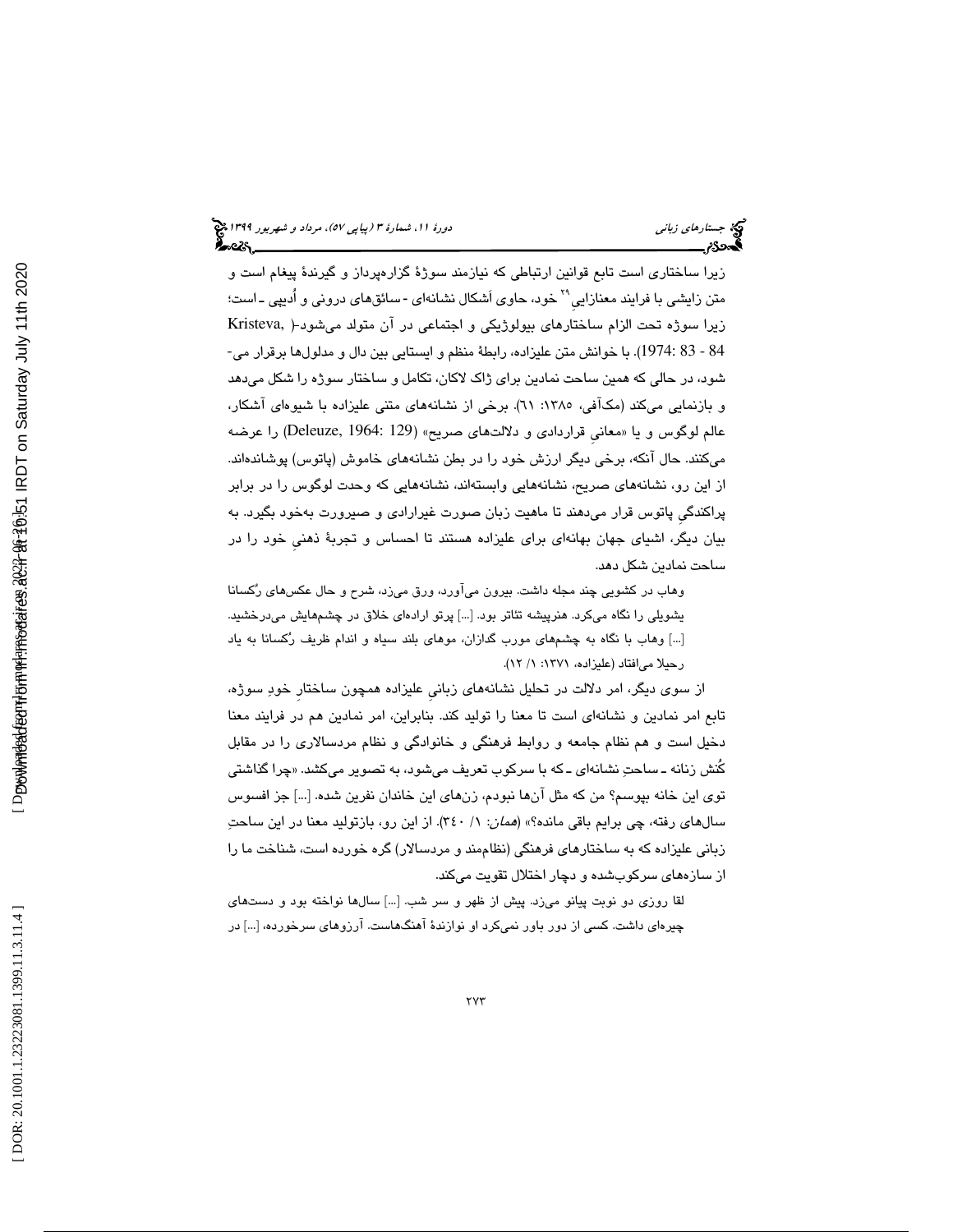زيرا ساختاري است تابع قوانين ارتباطي كه نيازمند سوژة گزارهپرداز و گيرندة پيغام است و متن زايشي با فرايند معنازايي<sup>٢٩</sup> خود، حاوي اَشكال نشانهاي -سائقهاي دروني و اُديپي ـ است؛ زيرا سوژه تحت الزام ساختارهاي بيولوژيكي و اجتماعي در آن متولد ميشود ( ,Kristeva 84 - 83 1974:). با خوانش متن عليزاده، رابطة منظم و ايستايي بين دال و مدلولها برقرار مي- شود، در حالي كه همين ساحت نمادين براي ژاك لاكان، تكامل و ساختار سوژه را شكل ميدهد و بازنمايي ميكند (مكـافي، ١٣٨٥: ٦١). برخي از نشانـهاي متني عليزاده با شيوهاي اشكار، عالم لوگوس و يا «معاني قراردادی و دلالتهای صريح» (Deleuze, 1964: 129) را عرضه ميكنند. حال آنكه، برخي ديگر ارزش خود را در بطن نشانههاي خاموش (پاتوس) پوشاندهاند. از اين رو، نشانههاي صريح، نشانههايي وابستهاند، نشانههايي كه وحدت لوگوس را در برابر پراكندگيِ پاتوس قرار ميدهند تا ماهيت زبان صورت غيرارادي و صيرورت بهخود بگيرد. به بيان ديگر، اشياي جهان بهانهاي براي عليزاده هستند تا احساس و تجربة ذهنيِ خود را در ساحت نمادين شكل دهد.

وهاب در كشويي چند مجله داشت. بيرون ميآورد، ورق ميزد، شرح و حال عكسهاي ركسانا يشويلي را نگاه ميكرد. هنرپيشه تئاتر بود. ]...[ پرتو ارادهاي خلاق در چشمهايش ميدرخشيد. ]...[ وهاب با نگاه به چشمهاي مورب گدازان، موهاي بلند سياه و اندام ظريف ركسانا به ياد رحيلا مي افتاد (عليزاده، ١٣٧١: ١/ ١٢).

از سوي ديگر، امر دلالت در تحليل نشانههاي زبانيِ عليزاده همچون ساختارِ خود سوژه، تابع امر نمادين و نشانهاي است تا معنا را توليد كند. بنابراين، امر نمادين هم در فرايند معنا دخيل است و هم نظام جامعه و روابط فرهنگي و خانوادگي و نظام مردسالاري را در مقابل كنش زنانه ــ ساحتِ نشانهای ــ كه با سركوب تعریف میشود، به تصویر میكشد. «چرا گذاشتی توي اين خانه بپوسم؟ من كه مثل آنها نبودم، زنهاي اين خاندان نفرين شده. ]...[ جز افسوس سالهاي رفته، چي برايم باقي مانده؟» (*همان*: ١/ ٣٤٠). از اين رو، بازتوليد معنا در اين ساحتِ زباني عليزاده كه به ساختارهاي فرهنگي (نظاممند و مردسالار) گره خورده است، شناخت ما را از سازههاي سركوبشده و دچار اختلال تقويت ميكند.

لقا روزي دو نوبت پيانو ميزد. پيش از ظهر و سر شب. ]...[ سالها نواخته بود و دستهاي چیرهای داشت. کسی از دور باور نمیکرد او نوازندهٔ اهنگهاست. ارزوهای سرخورده، […] در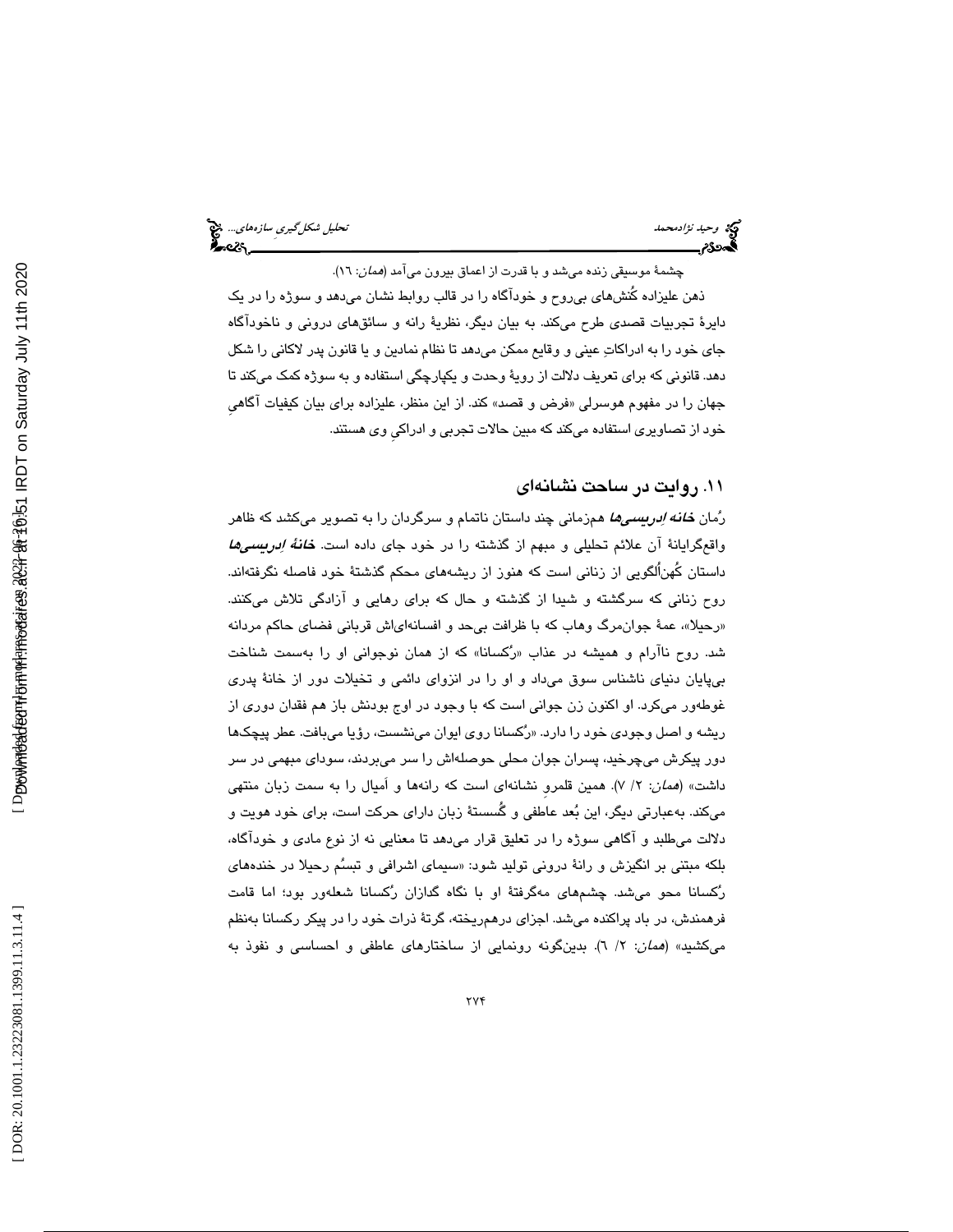چشمهٔ موسیقی زنده میشد و با قدرت از اعماق بیرون میآمد (*همان*: ۱۲). ذهن عليزاده كُنشهاي بيروح و خودآگاه را در قالب روابط نشان ميدهد و سوژه را در يك دايرة تجربيات قصدي طرح ميكند. به بيان ديگر، نظرية رانه و سائقهاي دروني و ناخودآگاه جاي خود را به ادراكات عيني و وقايع ممكن ميدهد تا نظام نمادين و يا قانون پدر لاكاني را شكل دهد. قانوني كه براي تعريف دلالت از روية وحدت و يكپارچگي استفاده و به سوژه كمك ميكند تا جهان را در مفهوم هوسرلي «فرض و قصد» كند. از اين منظر، عليزاده براي بيان كيفيات اگاهي

خود از تصاويري استفاده ميكند كه مبين حالات تجربي و ادراكيِ وي هستند.

#### 11. روايت در ساحت نشانهاي

رُمان *خانه اِدریسیها* همزمانی چند داستان ناتمام و سرگردان را به تصویر میکشد که ظاهر واقعگرايانهٔ آن علائم تحليلي و مبهم از گذشته را در خود جاي داده است. *خانهٔ اِدريسميها* داستان كُهناُلگويي از زناني است كه هنوز از ريشههاي محكم گذشتة خود فاصله نگرفتهاند. روح زناني كه سرگشته و شيدا از گذشته و حال كه براي رهايي و آزادگي تلاش ميكنند. «رحیلاً»، عمهٔ جوان،مرگ وهاب كه با ظرافت بیِحد و افسانهایاش قربانی فضای حاكم مردانه شد. روح ناارام و همیشه در عذاب «رُكسانا» كه از همان نوجوانی او را بهسمت شناخت بیپایان دنیای ناشناس سوق میداد و او را در انزوای دائمی و تخیلات دور از خانهٔ پدری غوطهور ميكرد. او اكنون زن جواني است كه با وجود در اوج بودنش باز هم فقدان دوري از ريشه و اصل وجود*ی* خود را دارد. «رُكسانا روی ايوان مینشست، رؤيا میبافت. عطر پيچكها دور پيكرش ميچرخيد، پسران جوان محلي حوصلهاش را سر ميبردند، سوداي مبهمي در سر داشت» (*همان*: ۲/ ۷). همین قلمرو نشانهای است كه رانهها و اَمیال را به سمت زبان منتهی ميكند. بهعبارتي ديگر، اين بعد عاطفي و گُسستة زبان داراي حركت است، براي خود هويت و دلالت ميطلبد و آگاهي سوژه را در تعليق قرار ميدهد تا معنايي نه از نوع مادي و خودآگاه، بلکه مبتني بر انگيزش و رانهٔ دروني توليد شود: «سيماي اشرافي و تبسُم رحيلا در خندههاي ركسانا محو ميشد. چشمهاي مهگرفتة او با نگاه گدازان ركسانا شعلهور بود؛ اما قامت فرهمندش، در باد پراكنده ميشد. اجزاي درهمريخته، گرتة ذرات خود را در پيكر ركسانا بهنظم ميكشيد» (*همان*: ٢/ ٦). بدينگونه رونمايي از ساختارهاي عاطفي و احساسي و نفوذ به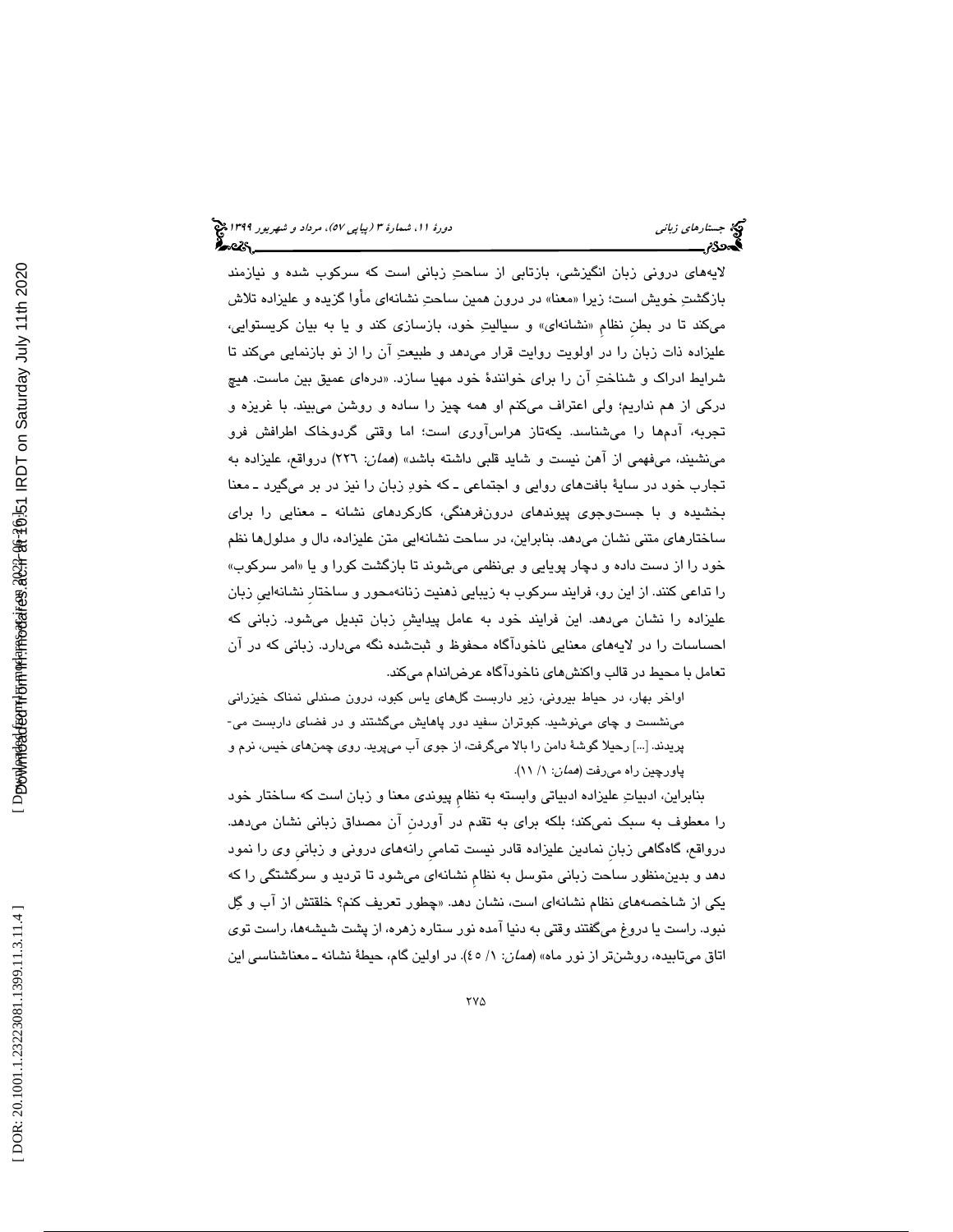لايههاي دروني زبان انگيزشي، بازتابي از ساحت زباني است كه سركوب شده و نيازمند بازگشتِ خويش است؛ زيرا «معنا» در درون همين ساحتِ نشانهاي مأوا گزيده و عليزاده تلاش میكند تا در بطن نظام «نشانهای» و سیالیتِ خود، بازسازی كند و یا به بیان كریستوایی، عليزاده ذات زبان را در اولويت روايت قرار ميدهد و طبيعت آن را از نو بازنمايي ميكند تا شرايط ادراک و شناختِ ان را برای خوانندهٔ خود مهيا سازد. «درهای عميق بين ماست. هيچ دركي از هم نداريم؛ ولي اعتراف ميكنم او همه چيز را ساده و روشن ميبيند. با غريزه و تجربه، ادمها را میشناسد. یکهتاز هراساوری است؛ اما وقتی گردوخاک اطرافش فرو مينشيند، ميفهمي از آهن نيست و شايد قلبي داشته باشد» (همان: 226) درواقع، عليزاده به تجارب خود در ساية بافتهاي روايي و اجتماعي ـ كه خود زبان را نيز در بر ميگيرد ـ معنا بخشيده و با جستوجوي پيوندهاي درونفرهنگي، كاركردهاي نشانه ـ معنايي را براي ساختارهاي متني نشان ميدهد. بنابراين، در ساحت نشانهايي متن عليزاده، دال و مدلولها نظم خود را از دست داده و دچار پویایی و بینظمی میشوند تا بازگشت كورا و یا «امر سركوب» را تداعي كنند. از اين رو، فرايند سركوب به زيبايي ذهنيت زنانهمحور و ساختارِ نشانهاييِ زبان عليزاده را نشان ميدهد. اين فرايند خود به عامل پيدايشِ زبان تبديل ميشود. زباني كه احساسات را در لايههاي معنايي ناخودآگاه محفوظ و ثبتشده نگه ميدارد. زباني كه در آن تعامل با محيط در قالب واكنشهاي ناخودآگاه عرضاندام ميكند.

اواخر بهار، در حياط بيروني، زير داربست گلهاي ياس كبود، درون صندلي نمناك خيزراني مينشست و چاي مينوشيد. كبوتران سفيد دور پاهايش ميگشتند و در فضاي داربست مي- پريدند. ]...[ رحيلا گوشة دامن را بالا ميگرفت، از جوي آب ميپريد. روي چمنهاي خيس، نرم و پاورچين راه میرفت (*همان*: ١/ ١١).

بنابراين، ادبيات عليزاده ادبياتي وابسته به نظامِ پيوندي معنا و زبان است كه ساختار خود را معطوف به سبك نميكند؛ بلكه براي به تقدم در آوردنِ آن مصداق زباني نشان ميدهد. درواقع، گاهگاهي زبان نمادين عليزاده قادر نيست تمامي رانههاي دروني و زباني وي را نمود دهد و بدينمنظور ساحت زباني متوسل به نظامِ نشانهاي ميشود تا ترديد و سرگشتگي را كه یکی از شاخصههای نظام نشانهای است، نشان دهد. «چطور تعریف کنم؟ خلقتش از اب و گِل نبود. راست يا دروغ ميگفتند وقتي به دنيا آمده نور ستاره زهره، از پشت شيشهها، راست توي اتاق ميتابيده، روشنتر از نور ماه» (*همان*: ١/ ٤٥). در اولين گام، حيطهٔ نشانه ـ معناشناسي اين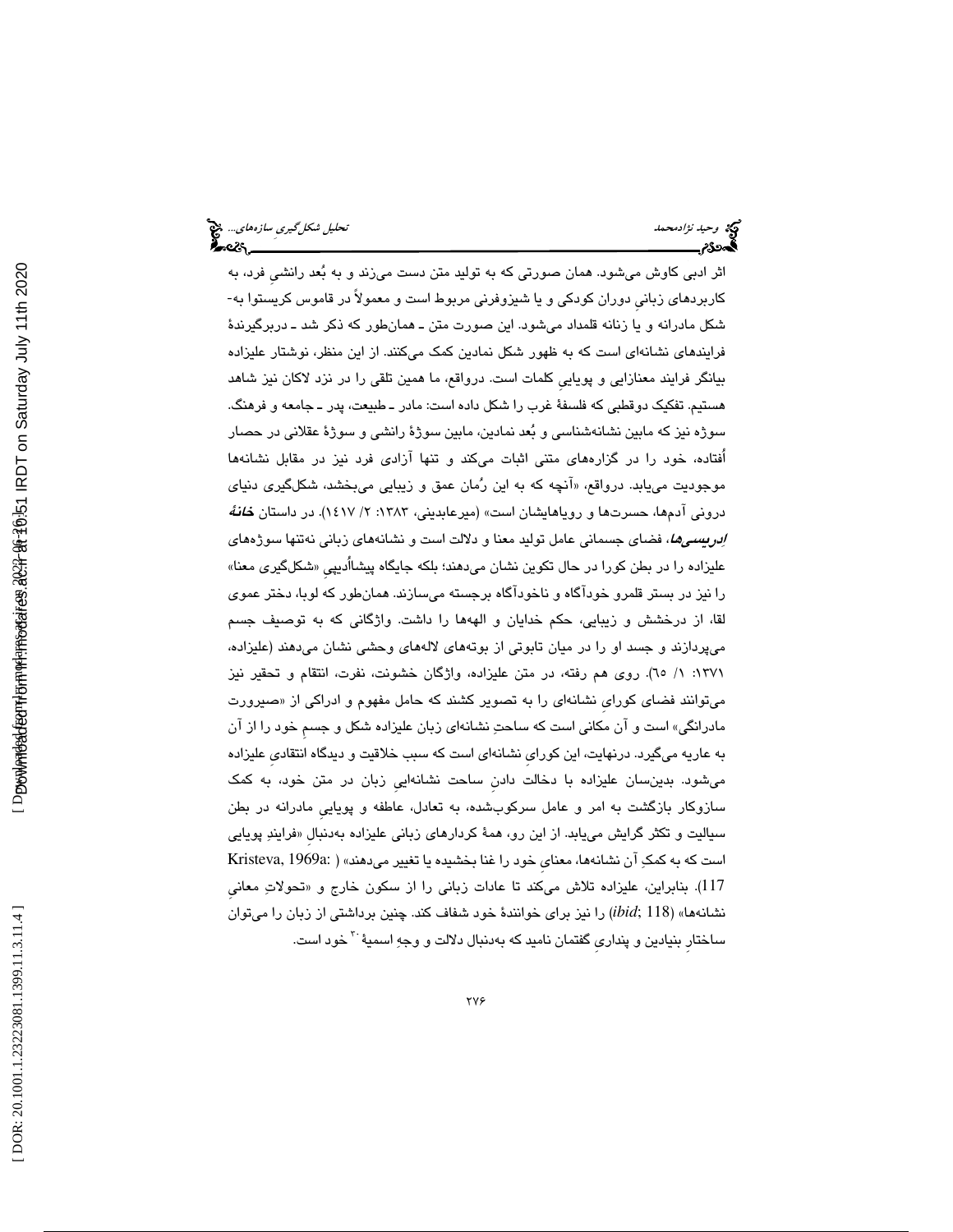وحيد نژادمحمد تحليل شكلگيريِ سازههاي...

اثر ادبي كاوش ميشود. همان صورتي كه به توليد متن دست ميزند و به بعد رانشيِ فرد، به كاربردهاي زبانيِ دوران كودكي و يا شيزوفرني مربوط است و معمولاً در قاموس كريستوا به- شكل مادرانه و يا زنانه قلمداد ميشود. اين صورت متن ـ همانطور كه ذكر شد ـ دربرگيرندة فرايندهاي نشانهاي است كه به ظهور شكل نمادين كمك ميكنند. از اين منظر، نوشتار عليزاده بيانگر فرايند معنازايي و پوياييِ كلمات است. درواقع، ما همين تلقي را در نزد لاكان نيز شاهد هستيم. تفكيك دوقطبي كه فلسفة غرب را شكل داده است: مادر ـ طبيعت، پدر ـ جامعه و فرهنگ. سوژه نيز كه مابين نشانهشناسي و بُعد نمادين، مابين سوژهٔ رانشي و سوژهٔ عقلاني در حصار اُفتاده، خود را در گزارههاي متني اثبات ميكند و تنها آزادي فرد نيز در مقابل نشانهها موجودیت میLبابد. درواقع، «انچه كه به این رُمان عمق و زیبایی میبخشد، شكلگیری دنیای دروني آدمها، حسرتها و روياهايشان است» (ميرعابديني، ۱۳۸۳: ۲/ ۱٤۱۷). در داستان *خانهٔ ادریسیها،* فضای جسمانی عامل تولید معنا و دلالت است و نشانههای زبانی نهتنها سوژههای عليزاده را در بطن كورا در حال تكوين نشان مىدهند؛ بلكه جايگاه پيشااديپي «شكلگيرى معنا» را نيز در بستر قلمرو خودآگاه و ناخودآگاه برجسته ميسازند. همانطور كه لوبا، دختر عموي لقا، از درخشش و زيبايي، حكم خدايان و الههها را داشت. واژگاني كه به توصيف جسم ميپردازند و جسد او را در ميان تابوتي از بوتههاي لالههاي وحشي نشان ميدهند (عليزاده، 1371 :1 / 65). روي هم رفته، در متن عليزاده، واژگان خشونت، نفرت، انتقام و تحقير نيز میتوانند فضای کورای نشانهای را به تصویر کشند که حامل مفهوم و ادراکی از «صیرورت مادرانگي» است و آن مكاني است كه ساحت نشانهاي زبان عليزاده شكل و جسمِ خود را از آن به عاريه ميگيرد. درنهايت، اين كورايِ نشانهاي است كه سبب خلاقيت و ديدگاه انتقاديِ عليزاده ميشود. بدينسان عليزاده با دخالت دادنِ ساحت نشانهاييِ زبان در متن خود، به كمك سازوكار بازگشت به امر و عامل سركوبشده، به تعادل، عاطفه و پوياييِ مادرانه در بطن سیالیت و تکثر گرایش مییابد. از این رو، همهٔ کردارهای زبانی علیزاده بهدنبال «فرایندِ پویایی است كه به كمكِ آن نشانهها، معناي خود را غنا بخشيده يا تغيير ميدهند» ( :Kristeva, 1969a ا 117). بنابراين، عليزاده تلاش ميكند تا عادات زباني را از سكون خارج و «تحولاتِ معاني نشانهها» (118 ;*ibid* (را نيز براي خوانندة خود شفاف كند. چنين برداشتي از زبان را ميتوان ساختار بنيادين و پنداری گفتمان ناميد كه بهدنبال دلالت و وجهِ اسميهٔ <sup>۳۰</sup>خود است.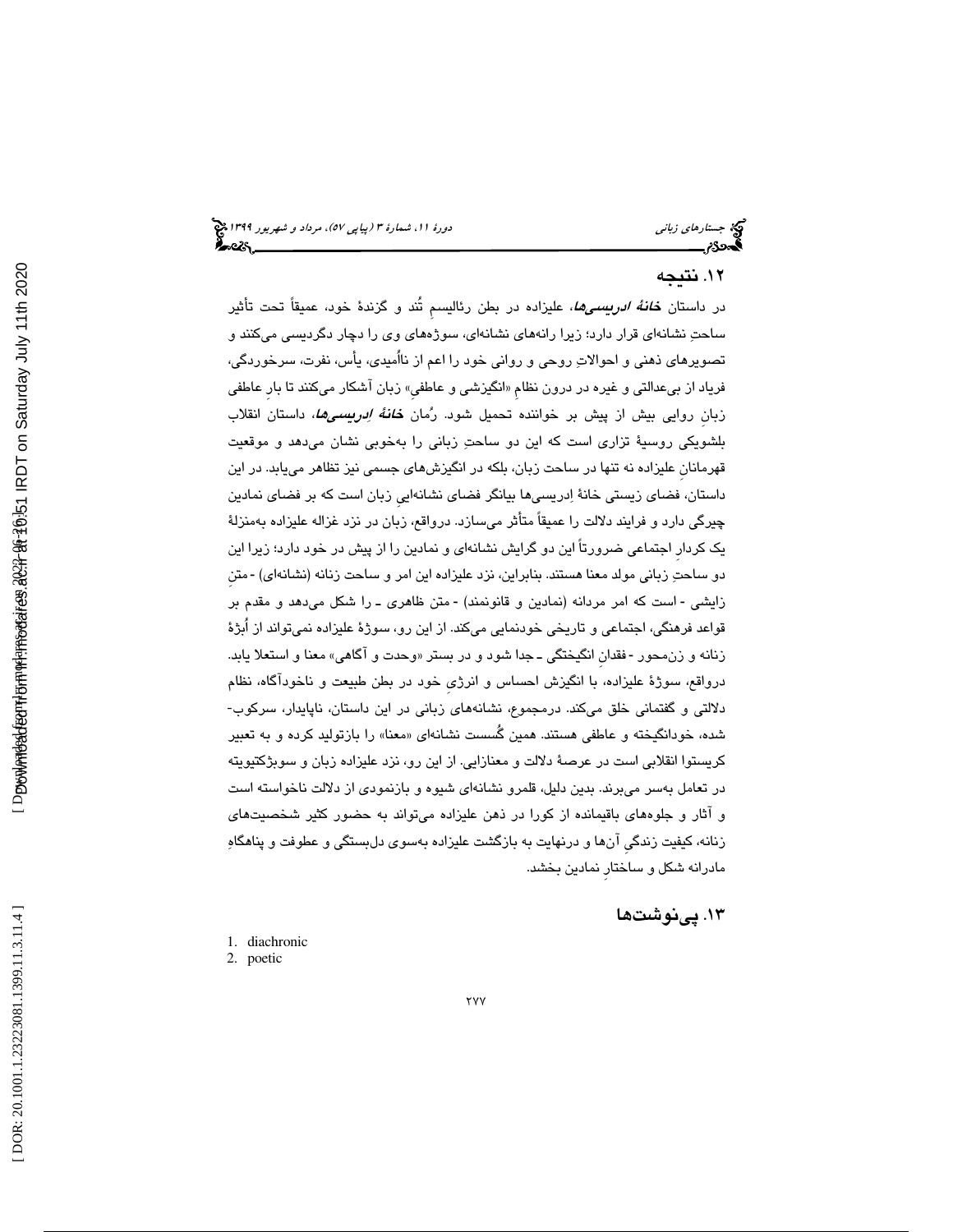#### 12. نتيجه

در داستان *خانهٔ ادریسیها*، علیزاده در بطن رئالیسمِ تُند و گزندهٔ خود، عمیقاً تحت تأثیر ساحتِ نشانهای قرار دارد؛ زیرا رانههای نشانهای، سوژههای وی را دچار دگردیسی میکنند و تصويرهاي ذهني و احوالات روحي و رواني خود را اعم از نااُميدي، يأس، نفرت، سرخوردگي، فرياد از بيعدالتي و غيره در درون نظام «انگيزشي و عاطفي» زبان اشكار ميكنند تا بار عاطفي زبان روايي بيش از پيش بر خواننده تحميل شود. رُمان *خانهٔ اِدريسيها*، داستان انقلاب بلشويكي روسية تزاري است كه اين دو ساحت زباني را بهخوبي نشان ميدهد و موقعيت قهرمانانِ عليزاده نه تنها در ساحت زبان، بلكه در انگيزشهاي جسمي نيز تظاهر مييابد. در اين داستان، فضاي زيستي خانة ادريسيها بيانگر فضاي نشانهاييِ زبان است كه بر فضاي نمادين چيرگي دارد و فرايند دلالت را عميقاً متأثر ميسازد. درواقع، زبان در نزد غزاله عليزاده بهمنزلة يك كردارِ اجتماعي ضرورتاً اين دو گرايش نشانهاي و نمادين را از پيش در خود دارد؛ زيرا اين دو ساحتِ زباني مولد معنا هستند. بنابراين، نزد عليزاده اين امر و ساحت زنانه (نشانهاي) -متن زايشي - است كه امر مردانه (نمادين و قانونمند) -متن ظاهرى ـ را شكل مىدهد و مقدم بر قواعد فرهنگي، اجتماعي و تاريخي خودنمايي ميكند. از اين رو، سوژة عليزاده نميتواند از اُبژة زنانه و زنءحور -فقدان انگيختگي ــ جدا شود و در بستر «وحدت و آگاهي» معنا و استعلا يابد. درواقع، سوژة عليزاده، با انگيزش احساس و انرژيِ خود در بطن طبيعت و ناخودآگاه، نظام دلالتي و گفتماني خلق ميكند. درمجموع، نشانههاي زباني در اين داستان، ناپايدار، سركوب- شده، خودانگيخته و عاطفي هستند. همين گُسست نشانهاي «معنا» را بازتوليد كرده و به تعبير كريستوا انقلابي است در عرصة دلالت و معنازايي. از اين رو، نزد عليزاده زبان و سوبژكتيويته در تعامل بهسر ميبرند. بدين دليل، قلمرو نشانهاي شيوه و بازنمودي از دلالت ناخواسته است و آثار و جلوههاي باقيمانده از كورا در ذهن عليزاده ميتواند به حضور كثير شخصيتهاي زنانه، كيفيت زندگيِ آنها و درنهايت به بازگشت عليزاده بهسوي دلبستگي و عطوفت و پناهگاه مادرانه شكل و ساختارِ نمادين بخشد.

۱۳. <u>پی</u> نوشتها

- 1. diachronic
- 2. poetic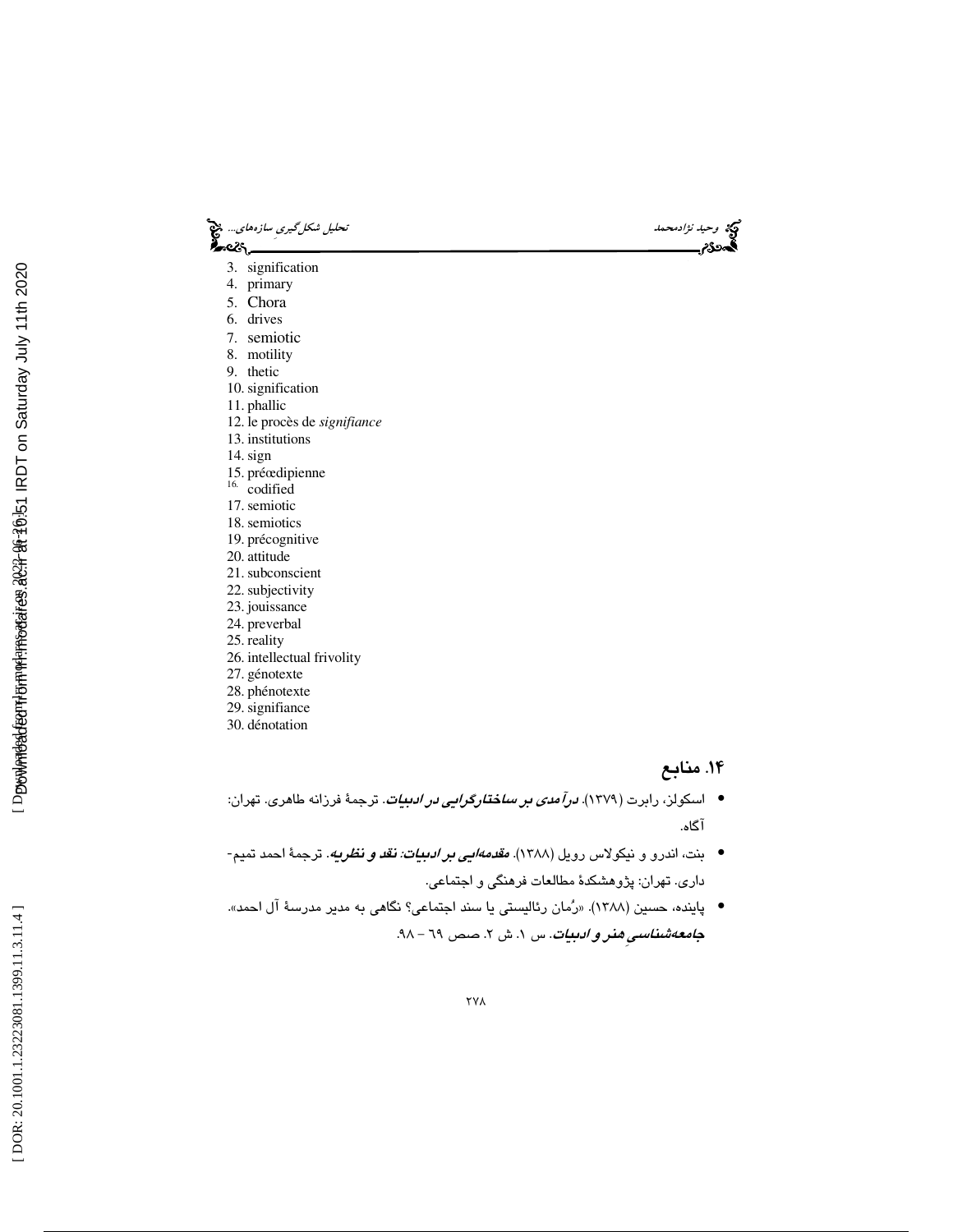3. signification 4. primary 5. Chora 6. drives 7. semiotic 8. motility 9. thetic 10. signification 11. phallic 12. le procès de *signifiance* 13. institutions 14. sign 15. préœdipienne 16. codified 17. semiotic 18. semiotics 19. précognitive 20. attitude 21. subconscient 22. subjectivity 23. jouissance 24. preverbal 25. reality 26. intellectual frivolity 27. génotexte 28. phénotexte 29. signifiance 30. dénotation

وحيد *نژادمحمد* تحليل ش*كل گيري سازههاي..*. وحيد نژادمحمد تحليل شكل *گيري سازههاي...*. وحيد تحليل شكل گيريِ سازههاي<br>**گيرد**ودم

#### .14 منابع

- اسکولز، رابرت (۱۳۷۹). *درآمدی بر ساختارگرایی در ادبیات*. ترجمهٔ فرزانه طاهری. تهران: آگاه.
- بنت، اندرو و نيكولاس رويل (١٣٨٨). *مقدمهايي بر ا<mark>دبيات: نقد و نظريه</mark>.* ترجمهٔ احمد تميم-داري. تهران: پژوهشكدة مطالعات فرهنگي و اجتماعي.
- پاينده، حسين (1388). «رمان رئاليستي يا سند اجتماعي؟ نگاهي به مدير مدرسة آل احمد». ج*امعهشناسيِ هذر و ادبيات*. س ۱. ش ۲. صص ٦٩ – ٩٨.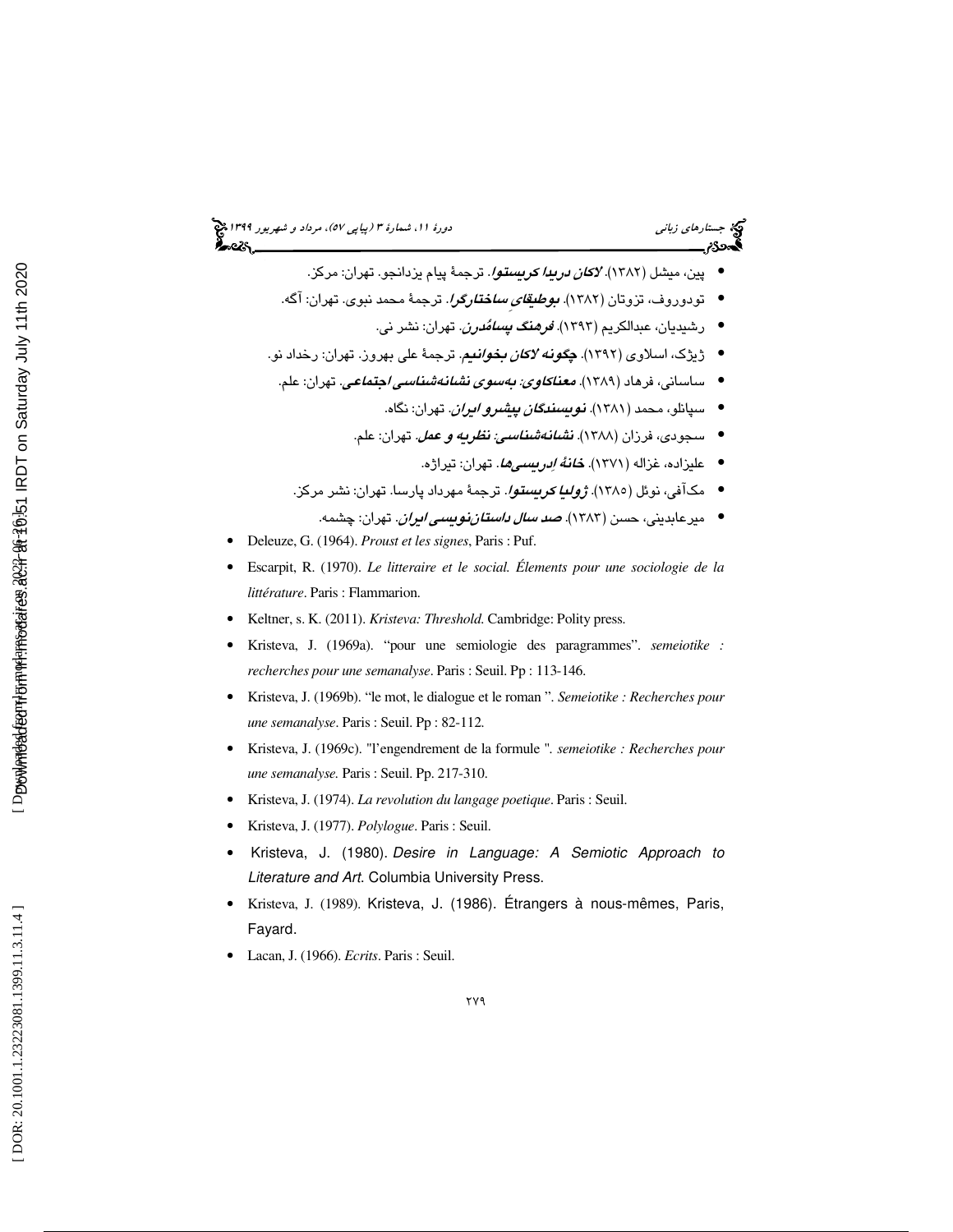- پين، ميشل (١٣٨٢). *لاكان دريدا كريستوا.* ترجمهٔ پيام يزدانجو. تهران: مركز.
- تودوروف، تزوتان (۱۳۸۲). *ب<i>وطیقایِ ساختارگرا***.** ترجمهٔ محمد نبوی. تهران: آگه.
	- رشیدیان، عبدالکریم (۱۳۹۳). *فرهنگ پسامُدرن*. تهران: نشر ني.
- ژيژك، اسلاوي (1392). چگونه لاكان بخوانيم. ترجمة علي بهروز. تهران: رخداد نو.
	- ساسانی، فرهاد (۱۳۸۹). *معناکاوی: بهسوی نشانهشناسی اجتماعی*. تهران: علم.
		- سپانلو، محمد (1381). نويسندگان پيشرو ايران. تهران: نگاه. •
		- سجودی، فرزان (۱۳۸۸). *نشئانهشناسی: نظریه و عمل.* تهران: علم.
			- علیزاده، غزاله (۱۳۷۱). *خانهٔ اِدرىسىيها*. تهران: تیراژه.
		- مکآفی، نوئل (۱۳۸۵). *ژولیا کریستوا.* ترجمهٔ مهرداد پارسا. تهران: نشر مرکز.
			- میرعابدینی، حسن (۱۳۸۳). *صد سال داستاننویسی ایران.* تهران: چشمه.
- Deleuze, G. (1964). *Proust et les signes*, Paris : Puf.
- Escarpit, R. (1970). *Le litteraire et le social. Élements pour une sociologie de la littérature*. Paris : Flammarion.
- Keltner, s. K. (2011). *Kristeva: Threshold*. Cambridge: Polity press.
- Kristeva, J. (1969a). "pour une semiologie des paragrammes". *semeiotike : recherches pour une semanalyse*. Paris : Seuil. Pp : 113-146.
- Kristeva, J. (1969b). "le mot, le dialogue et le roman ". *Semeiotike : Recherches pour une semanalyse*. Paris : Seuil. Pp : 82-112.
- Kristeva, J. (1969c). "l'engendrement de la formule "*. semeiotike : Recherches pour une semanalyse.* Paris : Seuil. Pp. 217-310.
- Kristeva, J. (1974). *La revolution du langage poetique*. Paris : Seuil.
- Kristeva, J. (1977). *Polylogue*. Paris : Seuil.
- Kristeva, J. (1980). Desire in Language: A Semiotic Approach to Literature and Art. Columbia University Press.
- Kristeva, J. (1989). Kristeva, J. (1986). Étrangers à nous-mêmes, Paris, Fayard.
- Lacan, J. (1966). *Ecrits*. Paris : Seuil.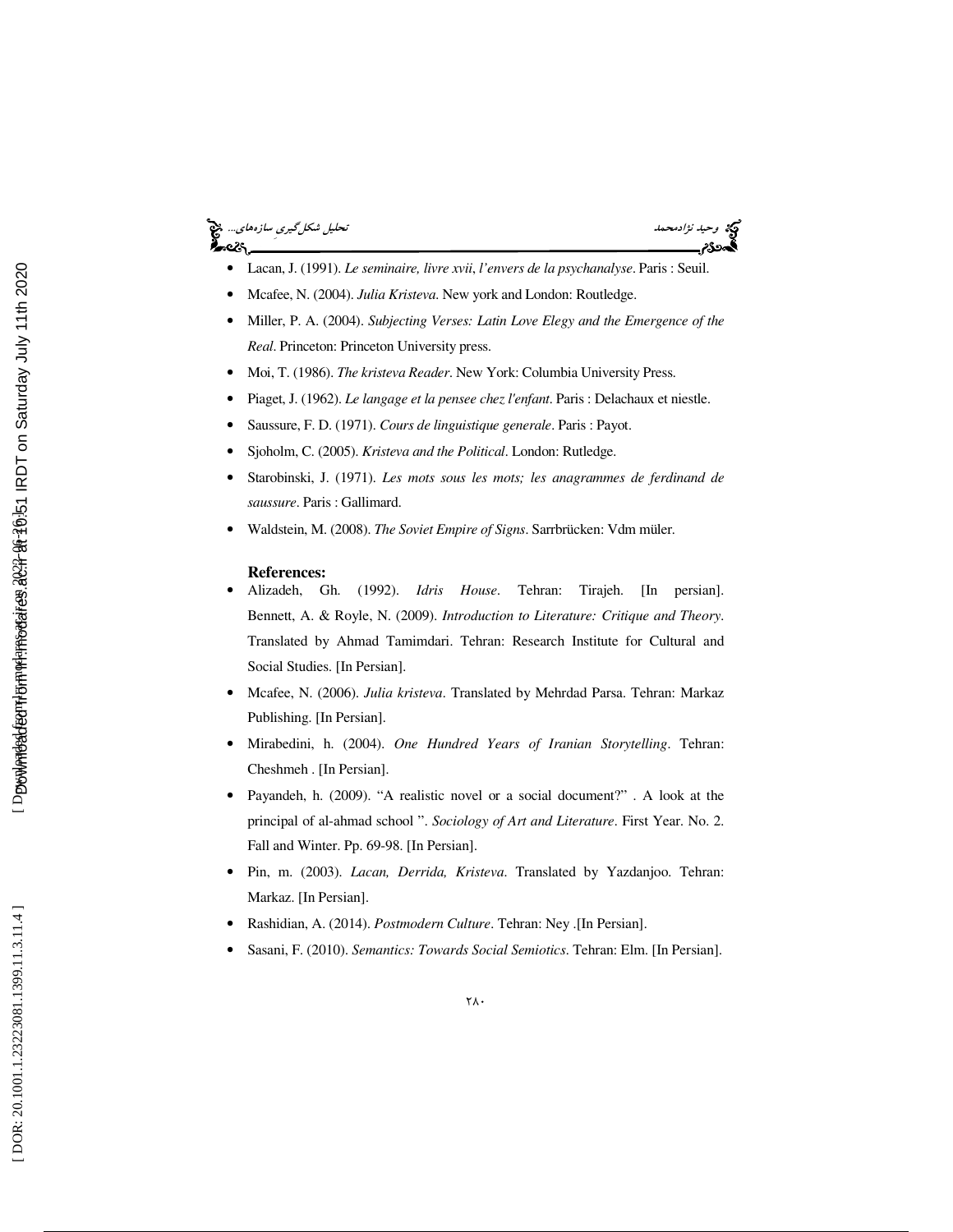## وكيد نژادمحمد تحليل شكل *گيري سازههاي...*. في استفاده تحليل شكل *گيري سازههاي...*. في استفاده استفاده استفاده استفاده<br>استفاده استفاده<br>استفاده استفاده استفاده استفاده استفاده استفاده استفاده استفاده استفاده استفاده استفاده



- Lacan, J. (1991). *Le seminaire, livre xvii*, *l'envers de la psychanalyse*. Paris : Seuil.
- Mcafee, N. (2004). *Julia Kristeva*. New york and London: Routledge.
- Miller, P. A. (2004). *Subjecting Verses: Latin Love Elegy and the Emergence of the Real*. Princeton: Princeton University press.
- Moi, T. (1986). *The kristeva Reader*. New York: Columbia University Press.
- Piaget, J. (1962). *Le langage et la pensee chez l'enfant*. Paris : Delachaux et niestle.
- Saussure, F. D. (1971). *Cours de linguistique generale*. Paris : Payot.
- Sjoholm, C. (2005). *Kristeva and the Political*. London: Rutledge.
- Starobinski, J. (1971). *Les mots sous les mots; les anagrammes de ferdinand de saussure*. Paris : Gallimard.
- Waldstein, M. (2008). *The Soviet Empire of Signs*. Sarrbrücken: Vdm müler.

#### **References:**

- Alizadeh, Gh. (1992). *Idris House*. Tehran: Tirajeh. [In persian]. Bennett, A. & Royle, N. (2009). *Introduction to Literature: Critique and Theory*. Translated by Ahmad Tamimdari. Tehran: Research Institute for Cultural and Social Studies. [In Persian].
- Mcafee, N. (2006). *Julia kristeva*. Translated by Mehrdad Parsa. Tehran: Markaz Publishing. [In Persian].
- Mirabedini, h. (2004). *One Hundred Years of Iranian Storytelling*. Tehran: Cheshmeh . [In Persian].
- Payandeh, h. (2009). "A realistic novel or a social document?" . A look at the principal of al-ahmad school ". *Sociology of Art and Literature*. First Year. No. 2. Fall and Winter. Pp. 69-98. [In Persian].
- Pin, m. (2003). *Lacan, Derrida, Kristeva*. Translated by Yazdanjoo. Tehran: Markaz. [In Persian].
- Rashidian, A. (2014). *Postmodern Culture*. Tehran: Ney .[In Persian].
- Sasani, F. (2010). *Semantics: Towards Social Semiotics*. Tehran: Elm. [In Persian].